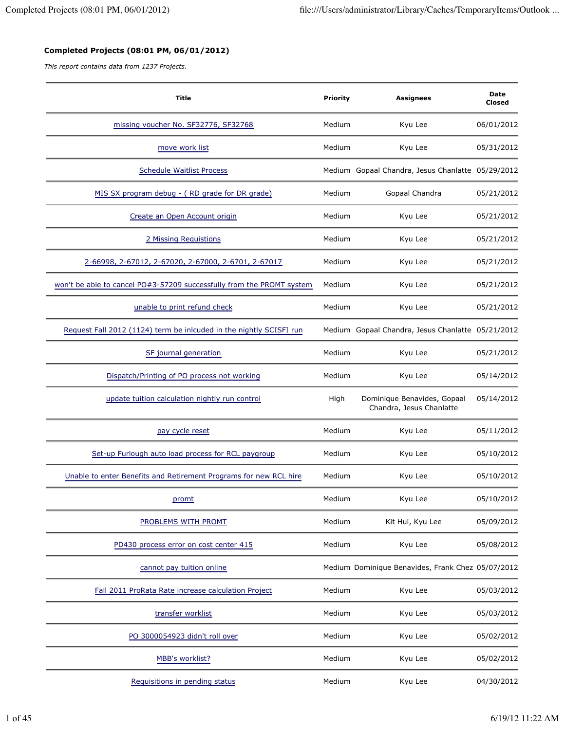## **Completed Projects (08:01 PM, 06/01/2012)**

*This report contains data from 1237 Projects.*

| <b>Title</b>                                                          | Priority | <b>Assignees</b>                                        | Date<br>Closed |
|-----------------------------------------------------------------------|----------|---------------------------------------------------------|----------------|
| missing voucher No. SF32776, SF32768                                  | Medium   | Kyu Lee                                                 | 06/01/2012     |
| move work list                                                        | Medium   | Kyu Lee                                                 | 05/31/2012     |
| <b>Schedule Waitlist Process</b>                                      |          | Medium Gopaal Chandra, Jesus Chanlatte 05/29/2012       |                |
| MIS SX program debug - (RD grade for DR grade)                        | Medium   | Gopaal Chandra                                          | 05/21/2012     |
| Create an Open Account origin                                         | Medium   | Kyu Lee                                                 | 05/21/2012     |
| 2 Missing Requistions                                                 | Medium   | Kyu Lee                                                 | 05/21/2012     |
| 2-66998, 2-67012, 2-67020, 2-67000, 2-6701, 2-67017                   | Medium   | Kyu Lee                                                 | 05/21/2012     |
| won't be able to cancel PO#3-57209 successfully from the PROMT system | Medium   | Kyu Lee                                                 | 05/21/2012     |
| unable to print refund check                                          | Medium   | Kyu Lee                                                 | 05/21/2012     |
| Request Fall 2012 (1124) term be inlcuded in the nightly SCISFI run   |          | Medium Gopaal Chandra, Jesus Chanlatte 05/21/2012       |                |
| SF journal generation                                                 | Medium   | Kyu Lee                                                 | 05/21/2012     |
| Dispatch/Printing of PO process not working                           | Medium   | Kyu Lee                                                 | 05/14/2012     |
| update tuition calculation nightly run control                        | High     | Dominique Benavides, Gopaal<br>Chandra, Jesus Chanlatte | 05/14/2012     |
| pay cycle reset                                                       | Medium   | Kyu Lee                                                 | 05/11/2012     |
| Set-up Furlough auto load process for RCL paygroup                    | Medium   | Kyu Lee                                                 | 05/10/2012     |
| Unable to enter Benefits and Retirement Programs for new RCL hire     | Medium   | Kyu Lee                                                 | 05/10/2012     |
| promt                                                                 | Medium   | Kyu Lee                                                 | 05/10/2012     |
| PROBLEMS WITH PROMT                                                   | Medium   | Kit Hui, Kyu Lee                                        | 05/09/2012     |
| PD430 process error on cost center 415                                | Medium   | Kyu Lee                                                 | 05/08/2012     |
| cannot pay tuition online                                             |          | Medium Dominique Benavides, Frank Chez 05/07/2012       |                |
| Fall 2011 ProRata Rate increase calculation Project                   | Medium   | Kyu Lee                                                 | 05/03/2012     |
| transfer worklist                                                     | Medium   | Kyu Lee                                                 | 05/03/2012     |
| PO 3000054923 didn't roll over                                        | Medium   | Kyu Lee                                                 | 05/02/2012     |
| MBB's worklist?                                                       | Medium   | Kyu Lee                                                 | 05/02/2012     |
| Requisitions in pending status                                        | Medium   | Kyu Lee                                                 | 04/30/2012     |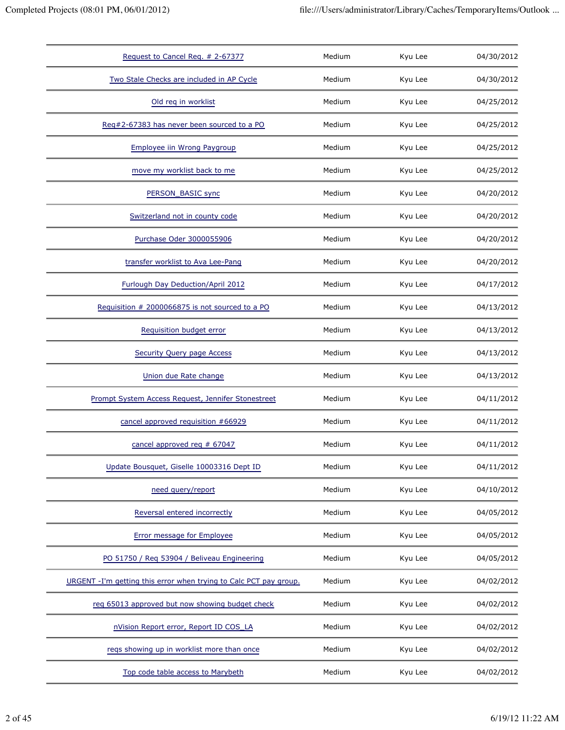| Request to Cancel Req. # 2-67377                                  | Medium | Kyu Lee | 04/30/2012 |
|-------------------------------------------------------------------|--------|---------|------------|
| Two Stale Checks are included in AP Cycle                         | Medium | Kyu Lee | 04/30/2012 |
| Old req in worklist                                               | Medium | Kyu Lee | 04/25/2012 |
| Reg#2-67383 has never been sourced to a PO                        | Medium | Kyu Lee | 04/25/2012 |
| Employee iin Wrong Paygroup                                       | Medium | Kyu Lee | 04/25/2012 |
| move my worklist back to me                                       | Medium | Kyu Lee | 04/25/2012 |
| PERSON_BASIC sync                                                 | Medium | Kyu Lee | 04/20/2012 |
| Switzerland not in county code                                    | Medium | Kyu Lee | 04/20/2012 |
| Purchase Oder 3000055906                                          | Medium | Kyu Lee | 04/20/2012 |
| transfer worklist to Ava Lee-Pang                                 | Medium | Kyu Lee | 04/20/2012 |
| Furlough Day Deduction/April 2012                                 | Medium | Kyu Lee | 04/17/2012 |
| Requisition # 2000066875 is not sourced to a PO                   | Medium | Kyu Lee | 04/13/2012 |
| Requisition budget error                                          | Medium | Kyu Lee | 04/13/2012 |
| <b>Security Query page Access</b>                                 | Medium | Kyu Lee | 04/13/2012 |
| Union due Rate change                                             | Medium | Kyu Lee | 04/13/2012 |
| Prompt System Access Request, Jennifer Stonestreet                | Medium | Kyu Lee | 04/11/2012 |
| cancel approved requisition #66929                                | Medium | Kyu Lee | 04/11/2012 |
| cancel approved req # 67047                                       | Medium | Kyu Lee | 04/11/2012 |
| Update Bousquet, Giselle 10003316 Dept ID                         | Medium | Kyu Lee | 04/11/2012 |
| need query/report                                                 | Medium | Kyu Lee | 04/10/2012 |
| Reversal entered incorrectly                                      | Medium | Kyu Lee | 04/05/2012 |
| Error message for Employee                                        | Medium | Kyu Lee | 04/05/2012 |
| PO 51750 / Req 53904 / Beliveau Engineering                       | Medium | Kyu Lee | 04/05/2012 |
| URGENT -I'm getting this error when trying to Calc PCT pay group. | Medium | Kyu Lee | 04/02/2012 |
| reg 65013 approved but now showing budget check                   | Medium | Kyu Lee | 04/02/2012 |
| nVision Report error, Report ID COS_LA                            | Medium | Kyu Lee | 04/02/2012 |
| reqs showing up in worklist more than once                        | Medium | Kyu Lee | 04/02/2012 |
| Top code table access to Marybeth                                 | Medium | Kyu Lee | 04/02/2012 |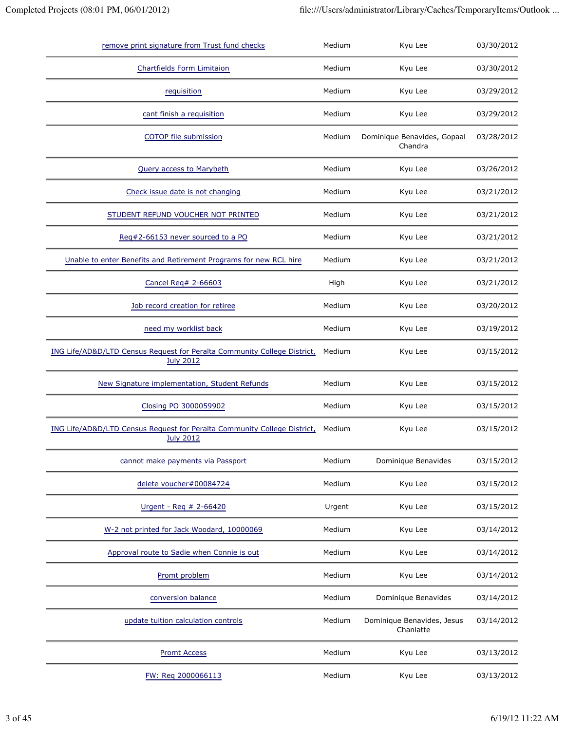| remove print signature from Trust fund checks                                                | Medium | Kyu Lee                                 | 03/30/2012 |
|----------------------------------------------------------------------------------------------|--------|-----------------------------------------|------------|
| <b>Chartfields Form Limitaion</b>                                                            | Medium | Kyu Lee                                 | 03/30/2012 |
| requisition                                                                                  | Medium | Kyu Lee                                 | 03/29/2012 |
| cant finish a requisition                                                                    | Medium | Kyu Lee                                 | 03/29/2012 |
| COTOP file submission                                                                        | Medium | Dominique Benavides, Gopaal<br>Chandra  | 03/28/2012 |
| <b>Query access to Marybeth</b>                                                              | Medium | Kyu Lee                                 | 03/26/2012 |
| Check issue date is not changing                                                             | Medium | Kyu Lee                                 | 03/21/2012 |
| STUDENT REFUND VOUCHER NOT PRINTED                                                           | Medium | Kyu Lee                                 | 03/21/2012 |
| Reg#2-66153 never sourced to a PO                                                            | Medium | Kyu Lee                                 | 03/21/2012 |
| Unable to enter Benefits and Retirement Programs for new RCL hire                            | Medium | Kyu Lee                                 | 03/21/2012 |
| Cancel Req# 2-66603                                                                          | High   | Kyu Lee                                 | 03/21/2012 |
| Job record creation for retiree                                                              | Medium | Kyu Lee                                 | 03/20/2012 |
| need my worklist back                                                                        | Medium | Kyu Lee                                 | 03/19/2012 |
| ING Life/AD&D/LTD Census Request for Peralta Community College District,<br><b>July 2012</b> | Medium | Kyu Lee                                 | 03/15/2012 |
| New Signature implementation, Student Refunds                                                | Medium | Kyu Lee                                 | 03/15/2012 |
| Closing PO 3000059902                                                                        | Medium | Kyu Lee                                 | 03/15/2012 |
| ING Life/AD&D/LTD Census Request for Peralta Community College District,<br><b>July 2012</b> | Medium | Kyu Lee                                 | 03/15/2012 |
| cannot make payments via Passport                                                            | Medium | Dominique Benavides                     | 03/15/2012 |
| delete voucher#00084724                                                                      | Medium | Kyu Lee                                 | 03/15/2012 |
| Urgent - Req # 2-66420                                                                       | Urgent | Kyu Lee                                 | 03/15/2012 |
| W-2 not printed for Jack Woodard, 10000069                                                   | Medium | Kyu Lee                                 | 03/14/2012 |
| Approval route to Sadie when Connie is out                                                   | Medium | Kyu Lee                                 | 03/14/2012 |
| Promt problem                                                                                | Medium | Kyu Lee                                 | 03/14/2012 |
| conversion balance                                                                           | Medium | Dominique Benavides                     | 03/14/2012 |
| update tuition calculation controls                                                          | Medium | Dominique Benavides, Jesus<br>Chanlatte | 03/14/2012 |
| <b>Promt Access</b>                                                                          | Medium | Kyu Lee                                 | 03/13/2012 |
| FW: Reg 2000066113                                                                           | Medium | Kyu Lee                                 | 03/13/2012 |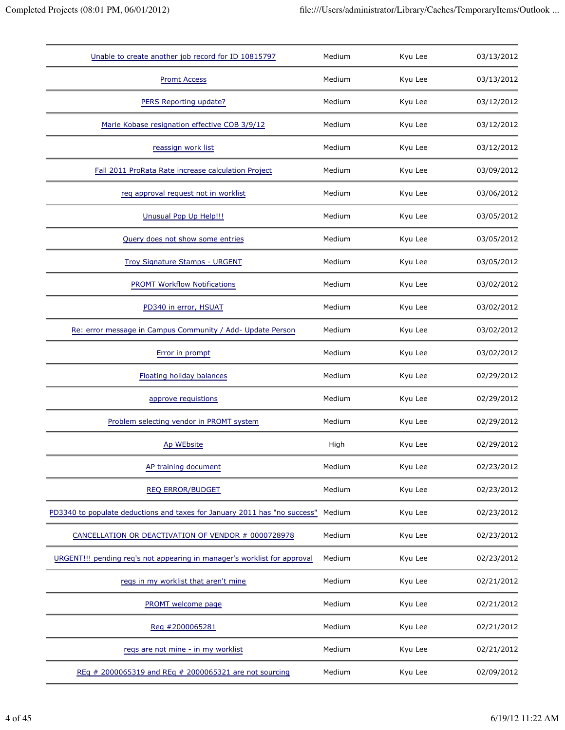| Unable to create another job record for ID 10815797                       | Medium | Kyu Lee | 03/13/2012 |
|---------------------------------------------------------------------------|--------|---------|------------|
| <b>Promt Access</b>                                                       | Medium | Kyu Lee | 03/13/2012 |
| PERS Reporting update?                                                    | Medium | Kyu Lee | 03/12/2012 |
| Marie Kobase resignation effective COB 3/9/12                             | Medium | Kyu Lee | 03/12/2012 |
| reassign work list                                                        | Medium | Kyu Lee | 03/12/2012 |
| Fall 2011 ProRata Rate increase calculation Project                       | Medium | Kyu Lee | 03/09/2012 |
| req approval request not in worklist                                      | Medium | Kyu Lee | 03/06/2012 |
| Unusual Pop Up Help!!!                                                    | Medium | Kyu Lee | 03/05/2012 |
| Query does not show some entries                                          | Medium | Kyu Lee | 03/05/2012 |
| Troy Signature Stamps - URGENT                                            | Medium | Kyu Lee | 03/05/2012 |
| <b>PROMT Workflow Notifications</b>                                       | Medium | Kyu Lee | 03/02/2012 |
| PD340 in error, HSUAT                                                     | Medium | Kyu Lee | 03/02/2012 |
| Re: error message in Campus Community / Add- Update Person                | Medium | Kyu Lee | 03/02/2012 |
| Error in prompt                                                           | Medium | Kyu Lee | 03/02/2012 |
| <b>Floating holiday balances</b>                                          | Medium | Kyu Lee | 02/29/2012 |
| approve requistions                                                       | Medium | Kyu Lee | 02/29/2012 |
| Problem selecting vendor in PROMT system                                  | Medium | Kyu Lee | 02/29/2012 |
| Ap WEbsite                                                                | High   | Kyu Lee | 02/29/2012 |
| AP training document                                                      | Medium | Kyu Lee | 02/23/2012 |
| <b>REQ ERROR/BUDGET</b>                                                   | Medium | Kyu Lee | 02/23/2012 |
| PD3340 to populate deductions and taxes for January 2011 has "no success" | Medium | Kyu Lee | 02/23/2012 |
| CANCELLATION OR DEACTIVATION OF VENDOR # 0000728978                       | Medium | Kyu Lee | 02/23/2012 |
| URGENT!!! pending req's not appearing in manager's worklist for approval  | Medium | Kyu Lee | 02/23/2012 |
| regs in my worklist that aren't mine                                      | Medium | Kyu Lee | 02/21/2012 |
| PROMT welcome page                                                        | Medium | Kyu Lee | 02/21/2012 |
| Req #2000065281                                                           | Medium | Kyu Lee | 02/21/2012 |
| reqs are not mine - in my worklist                                        | Medium | Kyu Lee | 02/21/2012 |
| REq # 2000065319 and REq # 2000065321 are not sourcing                    | Medium | Kyu Lee | 02/09/2012 |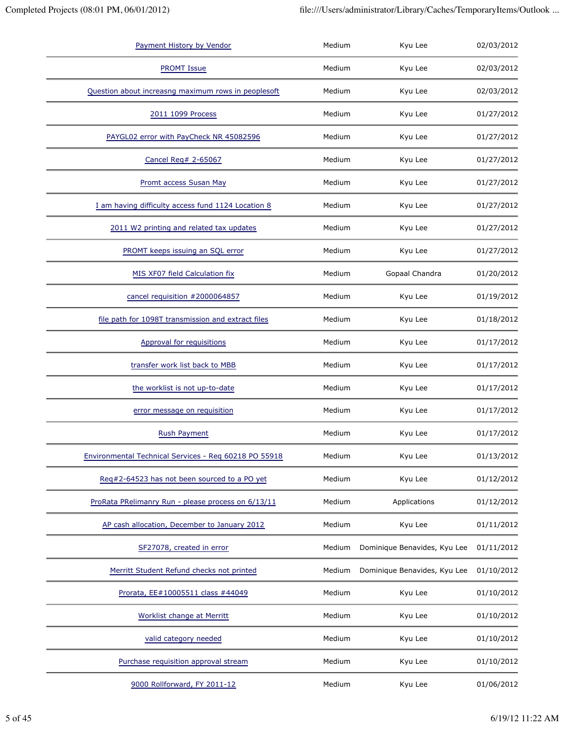| Payment History by Vendor                             | Medium | Kyu Lee                      | 02/03/2012 |
|-------------------------------------------------------|--------|------------------------------|------------|
| <b>PROMT Issue</b>                                    | Medium | Kyu Lee                      | 02/03/2012 |
| Question about increasng maximum rows in peoplesoft   | Medium | Kyu Lee                      | 02/03/2012 |
| 2011 1099 Process                                     | Medium | Kyu Lee                      | 01/27/2012 |
| PAYGL02 error with PayCheck NR 45082596               | Medium | Kyu Lee                      | 01/27/2012 |
| Cancel Req# 2-65067                                   | Medium | Kyu Lee                      | 01/27/2012 |
| Promt access Susan May                                | Medium | Kyu Lee                      | 01/27/2012 |
| I am having difficulty access fund 1124 Location 8    | Medium | Kyu Lee                      | 01/27/2012 |
| 2011 W2 printing and related tax updates              | Medium | Kyu Lee                      | 01/27/2012 |
| PROMT keeps issuing an SQL error                      | Medium | Kyu Lee                      | 01/27/2012 |
| MIS XF07 field Calculation fix                        | Medium | Gopaal Chandra               | 01/20/2012 |
| cancel requisition #2000064857                        | Medium | Kyu Lee                      | 01/19/2012 |
| file path for 1098T transmission and extract files    | Medium | Kyu Lee                      | 01/18/2012 |
| <b>Approval for requisitions</b>                      | Medium | Kyu Lee                      | 01/17/2012 |
| transfer work list back to MBB                        | Medium | Kyu Lee                      | 01/17/2012 |
| the worklist is not up-to-date                        | Medium | Kyu Lee                      | 01/17/2012 |
| error message on requisition                          | Medium | Kyu Lee                      | 01/17/2012 |
| <b>Rush Payment</b>                                   | Medium | Kyu Lee                      | 01/17/2012 |
| Environmental Technical Services - Req 60218 PO 55918 | Medium | Kyu Lee                      | 01/13/2012 |
| Req#2-64523 has not been sourced to a PO yet          | Medium | Kyu Lee                      | 01/12/2012 |
| ProRata PRelimanry Run - please process on 6/13/11    | Medium | Applications                 | 01/12/2012 |
| AP cash allocation, December to January 2012          | Medium | Kyu Lee                      | 01/11/2012 |
| SF27078, created in error                             | Medium | Dominique Benavides, Kyu Lee | 01/11/2012 |
| Merritt Student Refund checks not printed             | Medium | Dominique Benavides, Kyu Lee | 01/10/2012 |
| Prorata, EE#10005511 class #44049                     | Medium | Kyu Lee                      | 01/10/2012 |
| Worklist change at Merritt                            | Medium | Kyu Lee                      | 01/10/2012 |
| valid category needed                                 | Medium | Kyu Lee                      | 01/10/2012 |
| Purchase requisition approval stream                  | Medium | Kyu Lee                      | 01/10/2012 |
| 9000 Rollforward, FY 2011-12                          | Medium | Kyu Lee                      | 01/06/2012 |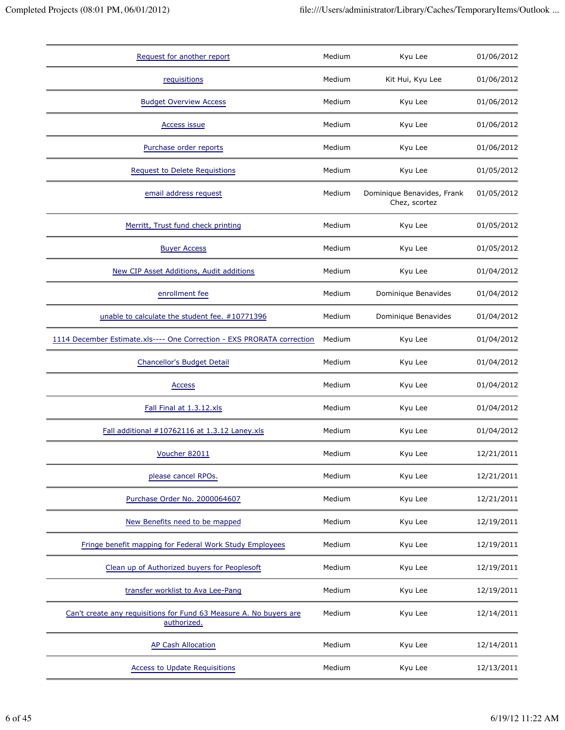| Request for another report                                                        | Medium | Kyu Lee                                     | 01/06/2012 |
|-----------------------------------------------------------------------------------|--------|---------------------------------------------|------------|
| requisitions                                                                      | Medium | Kit Hui, Kyu Lee                            | 01/06/2012 |
| <b>Budget Overview Access</b>                                                     | Medium | Kyu Lee                                     | 01/06/2012 |
| <b>Access issue</b>                                                               | Medium | Kyu Lee                                     | 01/06/2012 |
| Purchase order reports                                                            | Medium | Kyu Lee                                     | 01/06/2012 |
| <b>Request to Delete Requistions</b>                                              | Medium | Kyu Lee                                     | 01/05/2012 |
| email address request                                                             | Medium | Dominique Benavides, Frank<br>Chez, scortez | 01/05/2012 |
| Merritt, Trust fund check printing                                                | Medium | Kyu Lee                                     | 01/05/2012 |
| <b>Buyer Access</b>                                                               | Medium | Kyu Lee                                     | 01/05/2012 |
| New CIP Asset Additions, Audit additions                                          | Medium | Kyu Lee                                     | 01/04/2012 |
| enrollment fee                                                                    | Medium | Dominique Benavides                         | 01/04/2012 |
| unable to calculate the student fee. #10771396                                    | Medium | Dominique Benavides                         | 01/04/2012 |
| 1114 December Estimate.xls---- One Correction - EXS PRORATA correction            | Medium | Kyu Lee                                     | 01/04/2012 |
| Chancellor's Budget Detail                                                        | Medium | Kyu Lee                                     | 01/04/2012 |
| Access                                                                            | Medium | Kyu Lee                                     | 01/04/2012 |
| Fall Final at 1.3.12.xls                                                          | Medium | Kyu Lee                                     | 01/04/2012 |
| Fall additional #10762116 at 1.3.12 Laney.xls                                     | Medium | Kyu Lee                                     | 01/04/2012 |
| Voucher 82011                                                                     | Medium | Kyu Lee                                     | 12/21/2011 |
| please cancel RPOs.                                                               | Medium | Kyu Lee                                     | 12/21/2011 |
| Purchase Order No. 2000064607                                                     | Medium | Kyu Lee                                     | 12/21/2011 |
| New Benefits need to be mapped                                                    | Medium | Kyu Lee                                     | 12/19/2011 |
| Fringe benefit mapping for Federal Work Study Employees                           | Medium | Kyu Lee                                     | 12/19/2011 |
| Clean up of Authorized buyers for Peoplesoft                                      | Medium | Kyu Lee                                     | 12/19/2011 |
| transfer worklist to Ava Lee-Pang                                                 | Medium | Kyu Lee                                     | 12/19/2011 |
| Can't create any requisitions for Fund 63 Measure A. No buyers are<br>authorized. | Medium | Kyu Lee                                     | 12/14/2011 |
| <b>AP Cash Allocation</b>                                                         | Medium | Kyu Lee                                     | 12/14/2011 |
| <b>Access to Update Requisitions</b>                                              | Medium | Kyu Lee                                     | 12/13/2011 |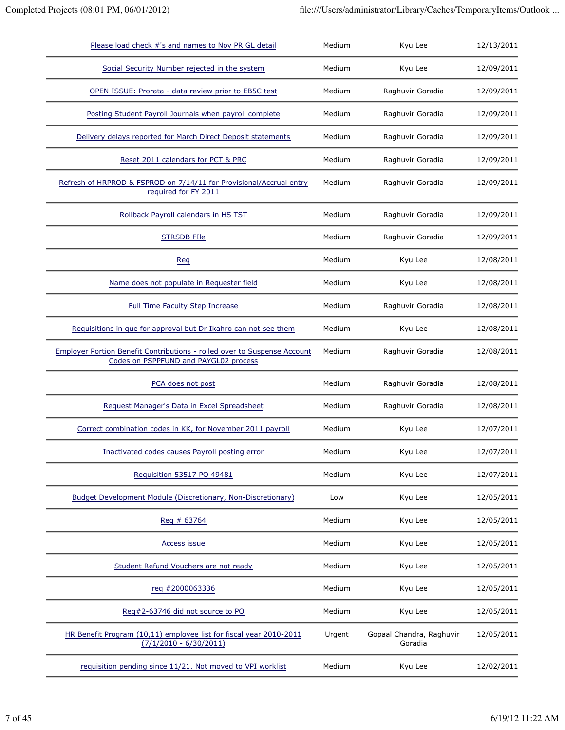| Please load check #'s and names to Nov PR GL detail                                                                      | Medium | Kyu Lee                             | 12/13/2011 |
|--------------------------------------------------------------------------------------------------------------------------|--------|-------------------------------------|------------|
| Social Security Number rejected in the system                                                                            | Medium | Kyu Lee                             | 12/09/2011 |
| OPEN ISSUE: Prorata - data review prior to EB5C test                                                                     | Medium | Raghuvir Goradia                    | 12/09/2011 |
| Posting Student Payroll Journals when payroll complete                                                                   | Medium | Raghuvir Goradia                    | 12/09/2011 |
| Delivery delays reported for March Direct Deposit statements                                                             | Medium | Raghuvir Goradia                    | 12/09/2011 |
| Reset 2011 calendars for PCT & PRC                                                                                       | Medium | Raghuvir Goradia                    | 12/09/2011 |
| Refresh of HRPROD & FSPROD on 7/14/11 for Provisional/Accrual entry<br>required for FY 2011                              | Medium | Raghuvir Goradia                    | 12/09/2011 |
| Rollback Payroll calendars in HS TST                                                                                     | Medium | Raghuvir Goradia                    | 12/09/2011 |
| <b>STRSDB FIle</b>                                                                                                       | Medium | Raghuvir Goradia                    | 12/09/2011 |
| Req                                                                                                                      | Medium | Kyu Lee                             | 12/08/2011 |
| Name does not populate in Requester field                                                                                | Medium | Kyu Lee                             | 12/08/2011 |
| <b>Full Time Faculty Step Increase</b>                                                                                   | Medium | Raghuvir Goradia                    | 12/08/2011 |
| Requisitions in que for approval but Dr Ikahro can not see them                                                          | Medium | Kyu Lee                             | 12/08/2011 |
| <b>Employer Portion Benefit Contributions - rolled over to Suspense Account</b><br>Codes on PSPPFUND and PAYGL02 process | Medium | Raghuvir Goradia                    | 12/08/2011 |
| PCA does not post                                                                                                        | Medium | Raghuvir Goradia                    | 12/08/2011 |
| Request Manager's Data in Excel Spreadsheet                                                                              | Medium | Raghuvir Goradia                    | 12/08/2011 |
| Correct combination codes in KK, for November 2011 payroll                                                               | Medium | Kyu Lee                             | 12/07/2011 |
| Inactivated codes causes Payroll posting error                                                                           | Medium | Kyu Lee                             | 12/07/2011 |
| Requisition 53517 PO 49481                                                                                               | Medium | Kyu Lee                             | 12/07/2011 |
| Budget Development Module (Discretionary, Non-Discretionary)                                                             | Low    | Kyu Lee                             | 12/05/2011 |
| Reg # 63764                                                                                                              | Medium | Kyu Lee                             | 12/05/2011 |
| <b>Access issue</b>                                                                                                      | Medium | Kyu Lee                             | 12/05/2011 |
| Student Refund Vouchers are not ready                                                                                    | Medium | Kyu Lee                             | 12/05/2011 |
| req #2000063336                                                                                                          | Medium | Kyu Lee                             | 12/05/2011 |
| Reg#2-63746 did not source to PO                                                                                         | Medium | Kyu Lee                             | 12/05/2011 |
| HR Benefit Program (10,11) employee list for fiscal year 2010-2011<br>$(7/1/2010 - 6/30/2011)$                           | Urgent | Gopaal Chandra, Raghuvir<br>Goradia | 12/05/2011 |
| requisition pending since 11/21. Not moved to VPI worklist                                                               | Medium | Kyu Lee                             | 12/02/2011 |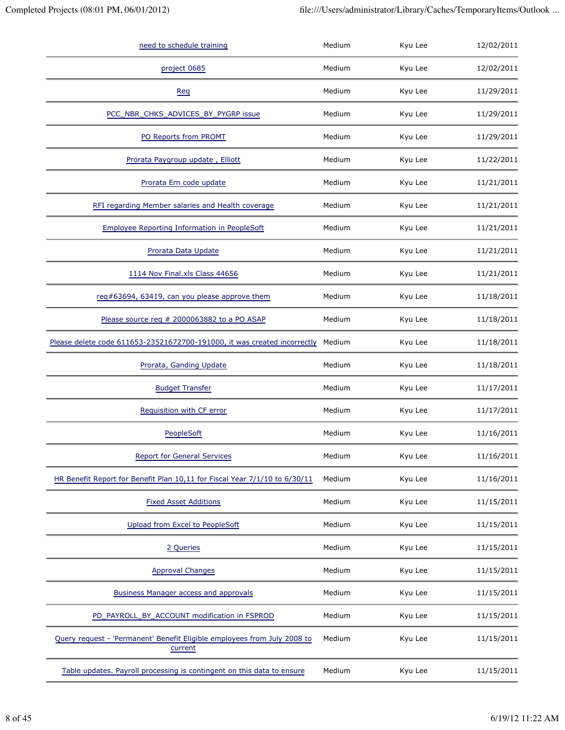| need to schedule training                                                           | Medium | Kyu Lee | 12/02/2011 |
|-------------------------------------------------------------------------------------|--------|---------|------------|
| project 0685                                                                        | Medium | Kyu Lee | 12/02/2011 |
| Req                                                                                 | Medium | Kyu Lee | 11/29/2011 |
| PCC_NBR_CHKS_ADVICES_BY_PYGRP issue                                                 | Medium | Kyu Lee | 11/29/2011 |
| PO Reports from PROMT                                                               | Medium | Kyu Lee | 11/29/2011 |
| Prorata Paygroup update, Elliott                                                    | Medium | Kyu Lee | 11/22/2011 |
| Prorata Ern code update                                                             | Medium | Kyu Lee | 11/21/2011 |
| RFI regarding Member salaries and Health coverage                                   | Medium | Kyu Lee | 11/21/2011 |
| <b>Employee Reporting Information in PeopleSoft</b>                                 | Medium | Kyu Lee | 11/21/2011 |
| Prorata Data Update                                                                 | Medium | Kyu Lee | 11/21/2011 |
| 1114 Nov Final.xls Class 44656                                                      | Medium | Kyu Lee | 11/21/2011 |
| req#63694, 63419, can you please approve them                                       | Medium | Kyu Lee | 11/18/2011 |
| Please source req # 2000063882 to a PO ASAP                                         | Medium | Kyu Lee | 11/18/2011 |
| Please delete code 611653-23521672700-191000, it was created incorrectly            | Medium | Kyu Lee | 11/18/2011 |
| Prorata, Ganding Update                                                             | Medium | Kyu Lee | 11/18/2011 |
| <b>Budget Transfer</b>                                                              | Medium | Kyu Lee | 11/17/2011 |
| Requisition with CF error                                                           | Medium | Kyu Lee | 11/17/2011 |
| PeopleSoft                                                                          | Medium | Kyu Lee | 11/16/2011 |
| <b>Report for General Services</b>                                                  | Medium | Kyu Lee | 11/16/2011 |
| HR Benefit Report for Benefit Plan 10,11 for Fiscal Year 7/1/10 to 6/30/11          | Medium | Kyu Lee | 11/16/2011 |
| <b>Fixed Asset Additions</b>                                                        | Medium | Kyu Lee | 11/15/2011 |
| Upload from Excel to PeopleSoft                                                     | Medium | Kyu Lee | 11/15/2011 |
| 2 Queries                                                                           | Medium | Kyu Lee | 11/15/2011 |
| <b>Approval Changes</b>                                                             | Medium | Kyu Lee | 11/15/2011 |
| Business Manager access and approvals                                               | Medium | Kyu Lee | 11/15/2011 |
| PD_PAYROLL_BY_ACCOUNT modification in FSPROD                                        | Medium | Kyu Lee | 11/15/2011 |
| Query request - 'Permanent' Benefit Eligible employees from July 2008 to<br>current | Medium | Kyu Lee | 11/15/2011 |
| Table updates. Payroll processing is contingent on this data to ensure              | Medium | Kyu Lee | 11/15/2011 |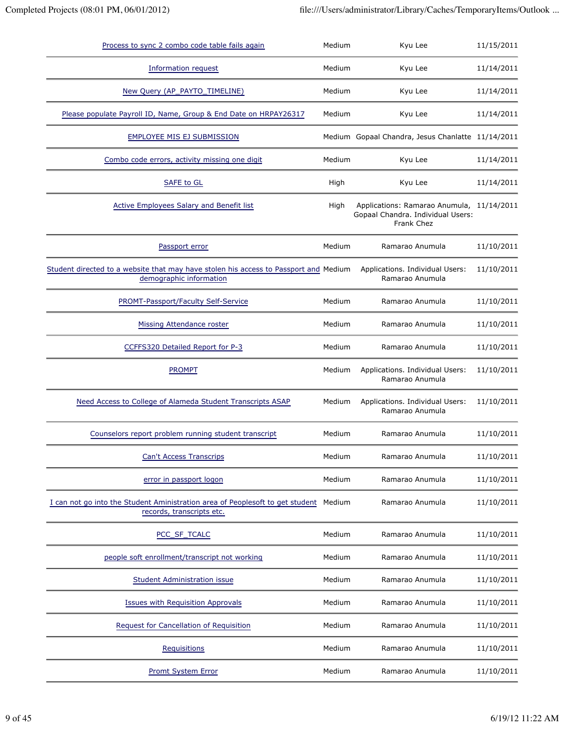| Process to sync 2 combo code table fails again                                                                  | Medium | Kyu Lee                                                                                      | 11/15/2011 |
|-----------------------------------------------------------------------------------------------------------------|--------|----------------------------------------------------------------------------------------------|------------|
| Information request                                                                                             | Medium | Kyu Lee                                                                                      | 11/14/2011 |
| New Query (AP_PAYTO_TIMELINE)                                                                                   | Medium | Kyu Lee                                                                                      | 11/14/2011 |
| Please populate Payroll ID, Name, Group & End Date on HRPAY26317                                                | Medium | Kyu Lee                                                                                      | 11/14/2011 |
| <b>EMPLOYEE MIS EJ SUBMISSION</b>                                                                               |        | Medium Gopaal Chandra, Jesus Chanlatte 11/14/2011                                            |            |
| Combo code errors, activity missing one digit                                                                   | Medium | Kyu Lee                                                                                      | 11/14/2011 |
| SAFE to GL                                                                                                      | High   | Kyu Lee                                                                                      | 11/14/2011 |
| <b>Active Employees Salary and Benefit list</b>                                                                 | High   | Applications: Ramarao Anumula, 11/14/2011<br>Gopaal Chandra. Individual Users:<br>Frank Chez |            |
| Passport error                                                                                                  | Medium | Ramarao Anumula                                                                              | 11/10/2011 |
| Student directed to a website that may have stolen his access to Passport and Medium<br>demographic information |        | Applications. Individual Users:<br>Ramarao Anumula                                           | 11/10/2011 |
| PROMT-Passport/Faculty Self-Service                                                                             | Medium | Ramarao Anumula                                                                              | 11/10/2011 |
| Missing Attendance roster                                                                                       | Medium | Ramarao Anumula                                                                              | 11/10/2011 |
| CCFFS320 Detailed Report for P-3                                                                                | Medium | Ramarao Anumula                                                                              | 11/10/2011 |
| <b>PROMPT</b>                                                                                                   | Medium | Applications. Individual Users:<br>Ramarao Anumula                                           | 11/10/2011 |
| Need Access to College of Alameda Student Transcripts ASAP                                                      | Medium | Applications. Individual Users:<br>Ramarao Anumula                                           | 11/10/2011 |
| Counselors report problem running student transcript                                                            | Medium | Ramarao Anumula                                                                              | 11/10/2011 |
| <b>Can't Access Transcrips</b>                                                                                  | Medium | Ramarao Anumula                                                                              | 11/10/2011 |
| error in passport logon                                                                                         | Medium | Ramarao Anumula                                                                              | 11/10/2011 |
| I can not go into the Student Aministration area of Peoplesoft to get student<br>records, transcripts etc.      | Medium | Ramarao Anumula                                                                              | 11/10/2011 |
| PCC_SF_TCALC                                                                                                    | Medium | Ramarao Anumula                                                                              | 11/10/2011 |
| people soft enrollment/transcript not working                                                                   | Medium | Ramarao Anumula                                                                              | 11/10/2011 |
| Student Administration issue                                                                                    | Medium | Ramarao Anumula                                                                              | 11/10/2011 |
| <b>Issues with Requisition Approvals</b>                                                                        | Medium | Ramarao Anumula                                                                              | 11/10/2011 |
| Request for Cancellation of Requisition                                                                         | Medium | Ramarao Anumula                                                                              | 11/10/2011 |
| <b>Requisitions</b>                                                                                             | Medium | Ramarao Anumula                                                                              | 11/10/2011 |
| Promt System Error                                                                                              | Medium | Ramarao Anumula                                                                              | 11/10/2011 |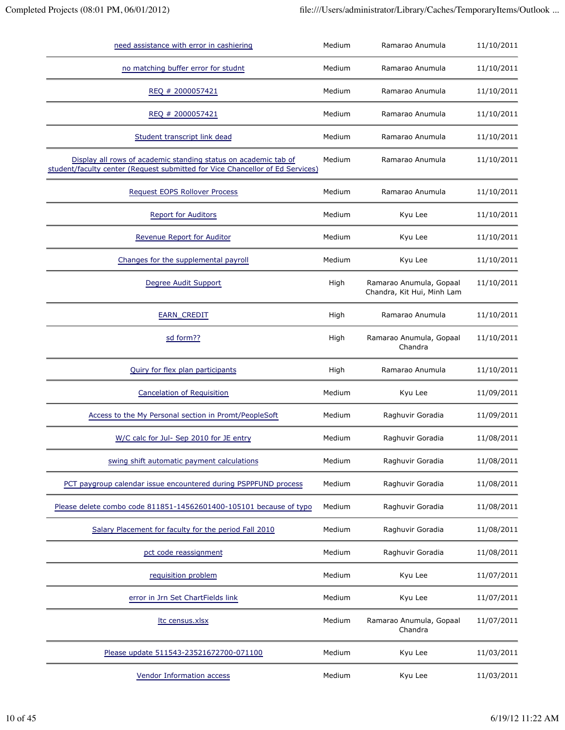| need assistance with error in cashiering                                                                                                         | Medium | Ramarao Anumula                                       | 11/10/2011 |
|--------------------------------------------------------------------------------------------------------------------------------------------------|--------|-------------------------------------------------------|------------|
| no matching buffer error for studnt                                                                                                              | Medium | Ramarao Anumula                                       | 11/10/2011 |
| REQ # 2000057421                                                                                                                                 | Medium | Ramarao Anumula                                       | 11/10/2011 |
| REQ # 2000057421                                                                                                                                 | Medium | Ramarao Anumula                                       | 11/10/2011 |
| Student transcript link dead                                                                                                                     | Medium | Ramarao Anumula                                       | 11/10/2011 |
| Display all rows of academic standing status on academic tab of<br>student/faculty center (Request submitted for Vice Chancellor of Ed Services) | Medium | Ramarao Anumula                                       | 11/10/2011 |
| Request EOPS Rollover Process                                                                                                                    | Medium | Ramarao Anumula                                       | 11/10/2011 |
| <b>Report for Auditors</b>                                                                                                                       | Medium | Kyu Lee                                               | 11/10/2011 |
| <b>Revenue Report for Auditor</b>                                                                                                                | Medium | Kyu Lee                                               | 11/10/2011 |
| Changes for the supplemental payroll                                                                                                             | Medium | Kyu Lee                                               | 11/10/2011 |
| Degree Audit Support                                                                                                                             | High   | Ramarao Anumula, Gopaal<br>Chandra, Kit Hui, Minh Lam | 11/10/2011 |
| <b>EARN_CREDIT</b>                                                                                                                               | High   | Ramarao Anumula                                       | 11/10/2011 |
| sd form??                                                                                                                                        | High   | Ramarao Anumula, Gopaal<br>Chandra                    | 11/10/2011 |
| Quiry for flex plan participants                                                                                                                 | High   | Ramarao Anumula                                       | 11/10/2011 |
| Cancelation of Requisition                                                                                                                       | Medium | Kyu Lee                                               | 11/09/2011 |
| Access to the My Personal section in Promt/PeopleSoft                                                                                            | Medium | Raghuvir Goradia                                      | 11/09/2011 |
| W/C calc for Jul- Sep 2010 for JE entry                                                                                                          | Medium | Raghuvir Goradia                                      | 11/08/2011 |
| swing shift automatic payment calculations                                                                                                       | Medium | Raghuvir Goradia                                      | 11/08/2011 |
| PCT paygroup calendar issue encountered during PSPPFUND process                                                                                  | Medium | Raghuvir Goradia                                      | 11/08/2011 |
| Please delete combo code 811851-14562601400-105101 because of typo                                                                               | Medium | Raghuvir Goradia                                      | 11/08/2011 |
| Salary Placement for faculty for the period Fall 2010                                                                                            | Medium | Raghuvir Goradia                                      | 11/08/2011 |
| pct code reassignment                                                                                                                            | Medium | Raghuvir Goradia                                      | 11/08/2011 |
| requisition problem                                                                                                                              | Medium | Kyu Lee                                               | 11/07/2011 |
| error in Jrn Set ChartFields link                                                                                                                | Medium | Kyu Lee                                               | 11/07/2011 |
| Itc census.xlsx                                                                                                                                  | Medium | Ramarao Anumula, Gopaal<br>Chandra                    | 11/07/2011 |
| Please update 511543-23521672700-071100                                                                                                          | Medium | Kyu Lee                                               | 11/03/2011 |
| <b>Vendor Information access</b>                                                                                                                 | Medium | Kyu Lee                                               | 11/03/2011 |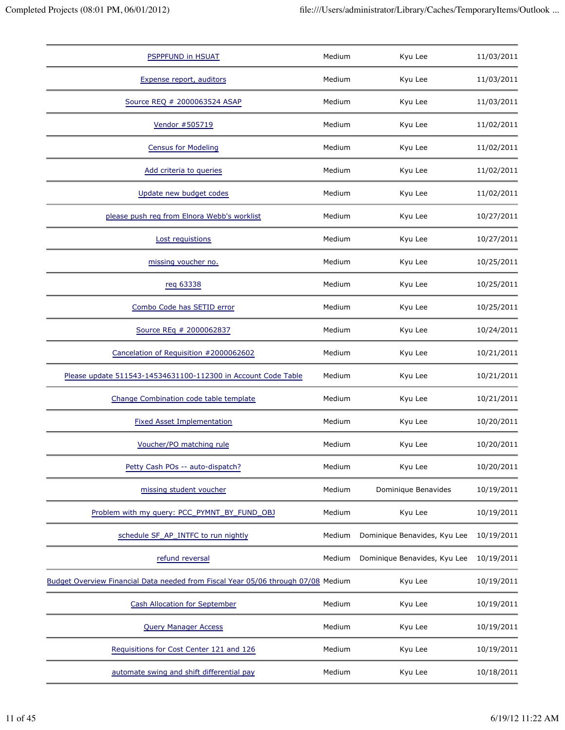| <b>PSPPFUND in HSUAT</b>                                                          | Medium | Kyu Lee                      | 11/03/2011 |
|-----------------------------------------------------------------------------------|--------|------------------------------|------------|
| Expense report, auditors                                                          | Medium | Kyu Lee                      | 11/03/2011 |
| Source REQ # 2000063524 ASAP                                                      | Medium | Kyu Lee                      | 11/03/2011 |
| Vendor #505719                                                                    | Medium | Kyu Lee                      | 11/02/2011 |
| <b>Census for Modeling</b>                                                        | Medium | Kyu Lee                      | 11/02/2011 |
| Add criteria to queries                                                           | Medium | Kyu Lee                      | 11/02/2011 |
| Update new budget codes                                                           | Medium | Kyu Lee                      | 11/02/2011 |
| please push reg from Elnora Webb's worklist                                       | Medium | Kyu Lee                      | 10/27/2011 |
| Lost requistions                                                                  | Medium | Kyu Lee                      | 10/27/2011 |
| missing voucher no.                                                               | Medium | Kyu Lee                      | 10/25/2011 |
| reg 63338                                                                         | Medium | Kyu Lee                      | 10/25/2011 |
| Combo Code has SETID error                                                        | Medium | Kyu Lee                      | 10/25/2011 |
| Source REq # 2000062837                                                           | Medium | Kyu Lee                      | 10/24/2011 |
| Cancelation of Requisition #2000062602                                            | Medium | Kyu Lee                      | 10/21/2011 |
| Please update 511543-14534631100-112300 in Account Code Table                     | Medium | Kyu Lee                      | 10/21/2011 |
| Change Combination code table template                                            | Medium | Kyu Lee                      | 10/21/2011 |
| <b>Fixed Asset Implementation</b>                                                 | Medium | Kyu Lee                      | 10/20/2011 |
| Voucher/PO matching rule                                                          | Medium | Kyu Lee                      | 10/20/2011 |
| Petty Cash POs -- auto-dispatch?                                                  | Medium | Kyu Lee                      | 10/20/2011 |
| missing student voucher                                                           | Medium | Dominique Benavides          | 10/19/2011 |
| Problem with my query: PCC_PYMNT_BY_FUND_OBJ                                      | Medium | Kyu Lee                      | 10/19/2011 |
| schedule SF_AP_INTFC to run nightly                                               | Medium | Dominique Benavides, Kyu Lee | 10/19/2011 |
| refund reversal                                                                   | Medium | Dominique Benavides, Kyu Lee | 10/19/2011 |
| Budget Overview Financial Data needed from Fiscal Year 05/06 through 07/08 Medium |        | Kyu Lee                      | 10/19/2011 |
| <b>Cash Allocation for September</b>                                              | Medium | Kyu Lee                      | 10/19/2011 |
| <b>Query Manager Access</b>                                                       | Medium | Kyu Lee                      | 10/19/2011 |
| Requisitions for Cost Center 121 and 126                                          | Medium | Kyu Lee                      | 10/19/2011 |
| automate swing and shift differential pay                                         | Medium | Kyu Lee                      | 10/18/2011 |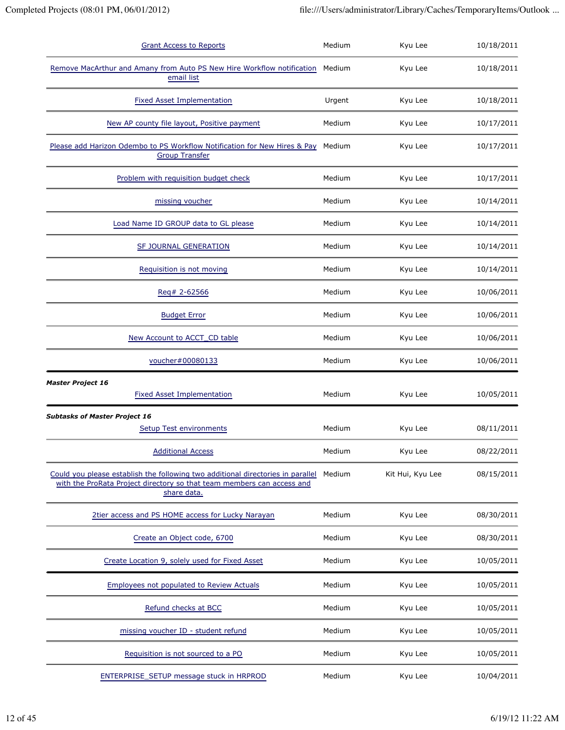| <b>Grant Access to Reports</b>                                                                                                                                           | Medium | Kyu Lee          | 10/18/2011 |
|--------------------------------------------------------------------------------------------------------------------------------------------------------------------------|--------|------------------|------------|
| Remove MacArthur and Amany from Auto PS New Hire Workflow notification<br>email list                                                                                     | Medium | Kyu Lee          | 10/18/2011 |
| <b>Fixed Asset Implementation</b>                                                                                                                                        | Urgent | Kyu Lee          | 10/18/2011 |
| New AP county file layout, Positive payment                                                                                                                              | Medium | Kyu Lee          | 10/17/2011 |
| Please add Harizon Odembo to PS Workflow Notification for New Hires & Pay<br><b>Group Transfer</b>                                                                       | Medium | Kyu Lee          | 10/17/2011 |
| Problem with requisition budget check                                                                                                                                    | Medium | Kyu Lee          | 10/17/2011 |
| missing voucher                                                                                                                                                          | Medium | Kyu Lee          | 10/14/2011 |
| Load Name ID GROUP data to GL please                                                                                                                                     | Medium | Kyu Lee          | 10/14/2011 |
| SF JOURNAL GENERATION                                                                                                                                                    | Medium | Kyu Lee          | 10/14/2011 |
| Requisition is not moving                                                                                                                                                | Medium | Kyu Lee          | 10/14/2011 |
| Reg# 2-62566                                                                                                                                                             | Medium | Kyu Lee          | 10/06/2011 |
| <b>Budget Error</b>                                                                                                                                                      | Medium | Kyu Lee          | 10/06/2011 |
| New Account to ACCT CD table                                                                                                                                             | Medium | Kyu Lee          | 10/06/2011 |
| voucher#00080133                                                                                                                                                         | Medium | Kyu Lee          | 10/06/2011 |
| <b>Master Project 16</b><br><b>Fixed Asset Implementation</b>                                                                                                            | Medium | Kyu Lee          | 10/05/2011 |
| <b>Subtasks of Master Project 16</b><br><b>Setup Test environments</b>                                                                                                   | Medium | Kyu Lee          | 08/11/2011 |
| <b>Additional Access</b>                                                                                                                                                 | Medium | Kyu Lee          | 08/22/2011 |
| Could you please establish the following two additional directories in parallel<br>with the ProRata Project directory so that team members can access and<br>share data. | Medium | Kit Hui, Kyu Lee | 08/15/2011 |
| 2tier access and PS HOME access for Lucky Narayan                                                                                                                        | Medium | Kyu Lee          | 08/30/2011 |
| Create an Object code, 6700                                                                                                                                              | Medium | Kyu Lee          | 08/30/2011 |
| Create Location 9, solely used for Fixed Asset                                                                                                                           | Medium | Kyu Lee          | 10/05/2011 |
| Employees not populated to Review Actuals                                                                                                                                | Medium | Kyu Lee          | 10/05/2011 |
| Refund checks at BCC                                                                                                                                                     | Medium | Kyu Lee          | 10/05/2011 |
| missing voucher ID - student refund                                                                                                                                      | Medium | Kyu Lee          | 10/05/2011 |
| Requisition is not sourced to a PO                                                                                                                                       | Medium | Kyu Lee          | 10/05/2011 |
| ENTERPRISE_SETUP message stuck in HRPROD                                                                                                                                 | Medium | Kyu Lee          | 10/04/2011 |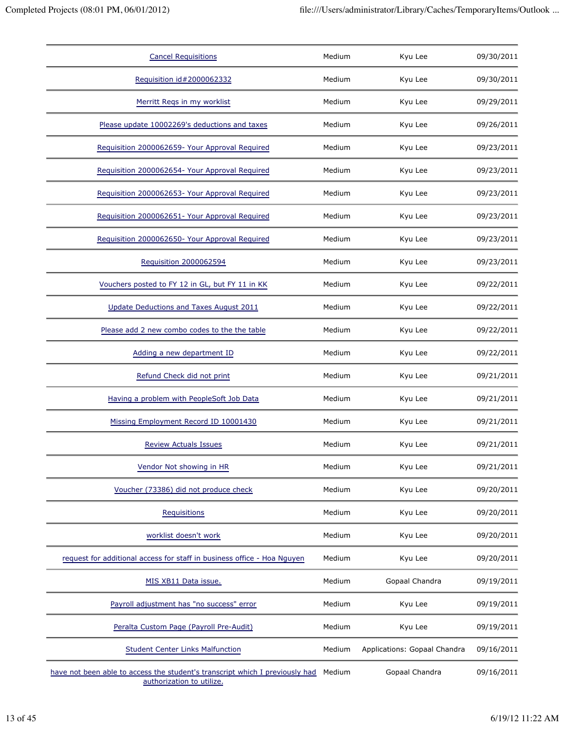| <b>Cancel Requisitions</b>                                                                                | Medium | Kyu Lee                      | 09/30/2011 |
|-----------------------------------------------------------------------------------------------------------|--------|------------------------------|------------|
| Requisition id#2000062332                                                                                 | Medium | Kyu Lee                      | 09/30/2011 |
| Merritt Regs in my worklist                                                                               | Medium | Kyu Lee                      | 09/29/2011 |
| Please update 10002269's deductions and taxes                                                             | Medium | Kyu Lee                      | 09/26/2011 |
| Requisition 2000062659- Your Approval Required                                                            | Medium | Kyu Lee                      | 09/23/2011 |
| Requisition 2000062654- Your Approval Required                                                            | Medium | Kyu Lee                      | 09/23/2011 |
| Requisition 2000062653- Your Approval Required                                                            | Medium | Kyu Lee                      | 09/23/2011 |
| Requisition 2000062651- Your Approval Required                                                            | Medium | Kyu Lee                      | 09/23/2011 |
| Requisition 2000062650- Your Approval Required                                                            | Medium | Kyu Lee                      | 09/23/2011 |
| Requisition 2000062594                                                                                    | Medium | Kyu Lee                      | 09/23/2011 |
| Vouchers posted to FY 12 in GL, but FY 11 in KK                                                           | Medium | Kyu Lee                      | 09/22/2011 |
| Update Deductions and Taxes August 2011                                                                   | Medium | Kyu Lee                      | 09/22/2011 |
| Please add 2 new combo codes to the the table                                                             | Medium | Kyu Lee                      | 09/22/2011 |
| Adding a new department ID                                                                                | Medium | Kyu Lee                      | 09/22/2011 |
| Refund Check did not print                                                                                | Medium | Kyu Lee                      | 09/21/2011 |
| Having a problem with PeopleSoft Job Data                                                                 | Medium | Kyu Lee                      | 09/21/2011 |
| Missing Employment Record ID 10001430                                                                     | Medium | Kyu Lee                      | 09/21/2011 |
| <b>Review Actuals Issues</b>                                                                              | Medium | Kyu Lee                      | 09/21/2011 |
| Vendor Not showing in HR                                                                                  | Medium | Kyu Lee                      | 09/21/2011 |
| Voucher (73386) did not produce check                                                                     | Medium | Kyu Lee                      | 09/20/2011 |
| Requisitions                                                                                              | Medium | Kyu Lee                      | 09/20/2011 |
| worklist doesn't work                                                                                     | Medium | Kyu Lee                      | 09/20/2011 |
| request for additional access for staff in business office - Hoa Nguyen                                   | Medium | Kyu Lee                      | 09/20/2011 |
| MIS XB11 Data issue.                                                                                      | Medium | Gopaal Chandra               | 09/19/2011 |
| Payroll adjustment has "no success" error                                                                 | Medium | Kyu Lee                      | 09/19/2011 |
| Peralta Custom Page (Payroll Pre-Audit)                                                                   | Medium | Kyu Lee                      | 09/19/2011 |
| <b>Student Center Links Malfunction</b>                                                                   | Medium | Applications: Gopaal Chandra | 09/16/2011 |
| have not been able to access the student's transcript which I previously had<br>authorization to utilize. | Medium | Gopaal Chandra               | 09/16/2011 |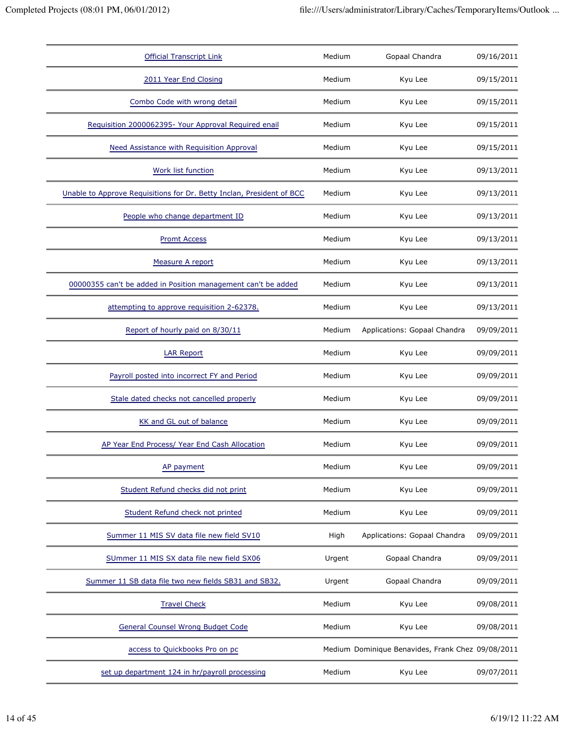| <b>Official Transcript Link</b>                                       | Medium | Gopaal Chandra                                    | 09/16/2011 |
|-----------------------------------------------------------------------|--------|---------------------------------------------------|------------|
| 2011 Year End Closing                                                 | Medium | Kyu Lee                                           | 09/15/2011 |
| Combo Code with wrong detail                                          | Medium | Kyu Lee                                           | 09/15/2011 |
| Requisition 2000062395- Your Approval Required enail                  | Medium | Kyu Lee                                           | 09/15/2011 |
| Need Assistance with Requisition Approval                             | Medium | Kyu Lee                                           | 09/15/2011 |
| Work list function                                                    | Medium | Kyu Lee                                           | 09/13/2011 |
| Unable to Approve Requisitions for Dr. Betty Inclan, President of BCC | Medium | Kyu Lee                                           | 09/13/2011 |
| People who change department ID                                       | Medium | Kyu Lee                                           | 09/13/2011 |
| <b>Promt Access</b>                                                   | Medium | Kyu Lee                                           | 09/13/2011 |
| Measure A report                                                      | Medium | Kyu Lee                                           | 09/13/2011 |
| 00000355 can't be added in Position management can't be added         | Medium | Kyu Lee                                           | 09/13/2011 |
| attempting to approve requisition 2-62378.                            | Medium | Kyu Lee                                           | 09/13/2011 |
| Report of hourly paid on 8/30/11                                      | Medium | Applications: Gopaal Chandra                      | 09/09/2011 |
| <b>LAR Report</b>                                                     | Medium | Kyu Lee                                           | 09/09/2011 |
| Payroll posted into incorrect FY and Period                           | Medium | Kyu Lee                                           | 09/09/2011 |
| Stale dated checks not cancelled properly                             | Medium | Kyu Lee                                           | 09/09/2011 |
| KK and GL out of balance                                              | Medium | Kyu Lee                                           | 09/09/2011 |
| AP Year End Process/ Year End Cash Allocation                         | Medium | Kyu Lee                                           | 09/09/2011 |
| AP payment                                                            | Medium | Kyu Lee                                           | 09/09/2011 |
| Student Refund checks did not print                                   | Medium | Kyu Lee                                           | 09/09/2011 |
| Student Refund check not printed                                      | Medium | Kyu Lee                                           | 09/09/2011 |
| Summer 11 MIS SV data file new field SV10                             | High   | Applications: Gopaal Chandra                      | 09/09/2011 |
| SUmmer 11 MIS SX data file new field SX06                             | Urgent | Gopaal Chandra                                    | 09/09/2011 |
| Summer 11 SB data file two new fields SB31 and SB32.                  | Urgent | Gopaal Chandra                                    | 09/09/2011 |
| <b>Travel Check</b>                                                   | Medium | Kyu Lee                                           | 09/08/2011 |
| <b>General Counsel Wrong Budget Code</b>                              | Medium | Kyu Lee                                           | 09/08/2011 |
| access to Quickbooks Pro on pc                                        |        | Medium Dominique Benavides, Frank Chez 09/08/2011 |            |
| set up department 124 in hr/payroll processing                        | Medium | Kyu Lee                                           | 09/07/2011 |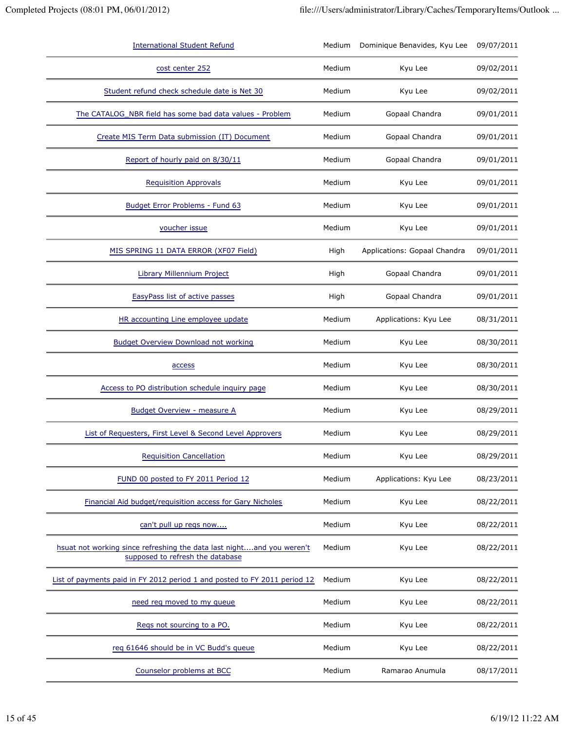| <b>International Student Refund</b>                                                                       | Medium | Dominique Benavides, Kyu Lee | 09/07/2011 |
|-----------------------------------------------------------------------------------------------------------|--------|------------------------------|------------|
| cost center 252                                                                                           | Medium | Kyu Lee                      | 09/02/2011 |
| Student refund check schedule date is Net 30                                                              | Medium | Kyu Lee                      | 09/02/2011 |
| The CATALOG_NBR field has some bad data values - Problem                                                  | Medium | Gopaal Chandra               | 09/01/2011 |
| Create MIS Term Data submission (IT) Document                                                             | Medium | Gopaal Chandra               | 09/01/2011 |
| Report of hourly paid on 8/30/11                                                                          | Medium | Gopaal Chandra               | 09/01/2011 |
| <b>Requisition Approvals</b>                                                                              | Medium | Kyu Lee                      | 09/01/2011 |
| Budget Error Problems - Fund 63                                                                           | Medium | Kyu Lee                      | 09/01/2011 |
| voucher issue                                                                                             | Medium | Kyu Lee                      | 09/01/2011 |
| MIS SPRING 11 DATA ERROR (XF07 Field)                                                                     | High   | Applications: Gopaal Chandra | 09/01/2011 |
| <b>Library Millennium Project</b>                                                                         | High   | Gopaal Chandra               | 09/01/2011 |
| EasyPass list of active passes                                                                            | High   | Gopaal Chandra               | 09/01/2011 |
| HR accounting Line employee update                                                                        | Medium | Applications: Kyu Lee        | 08/31/2011 |
| <b>Budget Overview Download not working</b>                                                               | Medium | Kyu Lee                      | 08/30/2011 |
| access                                                                                                    | Medium | Kyu Lee                      | 08/30/2011 |
| Access to PO distribution schedule inquiry page                                                           | Medium | Kyu Lee                      | 08/30/2011 |
| Budget Overview - measure A                                                                               | Medium | Kyu Lee                      | 08/29/2011 |
| List of Requesters, First Level & Second Level Approvers                                                  | Medium | Kyu Lee                      | 08/29/2011 |
| <b>Requisition Cancellation</b>                                                                           | Medium | Kyu Lee                      | 08/29/2011 |
| FUND 00 posted to FY 2011 Period 12                                                                       | Medium | Applications: Kyu Lee        | 08/23/2011 |
| Financial Aid budget/requisition access for Gary Nicholes                                                 | Medium | Kyu Lee                      | 08/22/2011 |
| can't pull up reqs now                                                                                    | Medium | Kyu Lee                      | 08/22/2011 |
| hsuat not working since refreshing the data last nightand you weren't<br>supposed to refresh the database | Medium | Kyu Lee                      | 08/22/2011 |
| List of payments paid in FY 2012 period 1 and posted to FY 2011 period 12                                 | Medium | Kyu Lee                      | 08/22/2011 |
| need reg moved to my queue                                                                                | Medium | Kyu Lee                      | 08/22/2011 |
| Regs not sourcing to a PO.                                                                                | Medium | Kyu Lee                      | 08/22/2011 |
| req 61646 should be in VC Budd's queue                                                                    | Medium | Kyu Lee                      | 08/22/2011 |
| Counselor problems at BCC                                                                                 | Medium | Ramarao Anumula              | 08/17/2011 |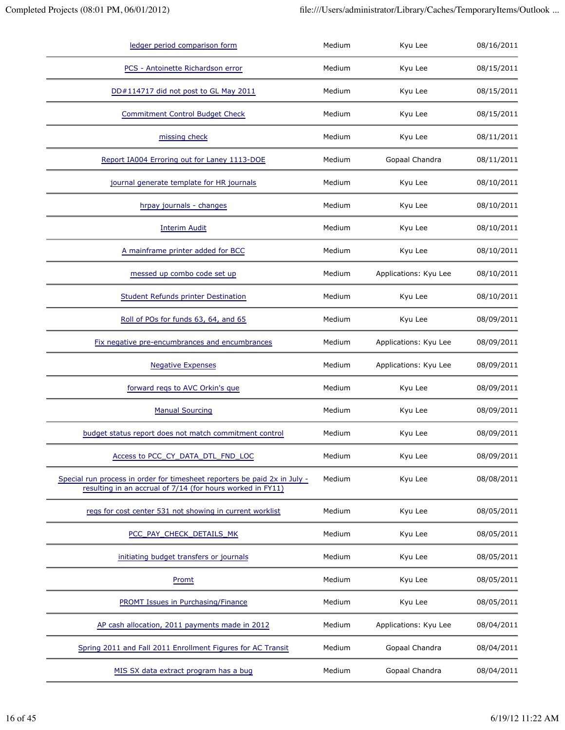| ledger period comparison form                                                                                                           | Medium | Kyu Lee               | 08/16/2011 |
|-----------------------------------------------------------------------------------------------------------------------------------------|--------|-----------------------|------------|
| PCS - Antoinette Richardson error                                                                                                       | Medium | Kyu Lee               | 08/15/2011 |
| DD#114717 did not post to GL May 2011                                                                                                   | Medium | Kyu Lee               | 08/15/2011 |
| <b>Commitment Control Budget Check</b>                                                                                                  | Medium | Kyu Lee               | 08/15/2011 |
| missing check                                                                                                                           | Medium | Kyu Lee               | 08/11/2011 |
| Report IA004 Erroring out for Laney 1113-DOE                                                                                            | Medium | Gopaal Chandra        | 08/11/2011 |
| journal generate template for HR journals                                                                                               | Medium | Kyu Lee               | 08/10/2011 |
| hrpay journals - changes                                                                                                                | Medium | Kyu Lee               | 08/10/2011 |
| <b>Interim Audit</b>                                                                                                                    | Medium | Kyu Lee               | 08/10/2011 |
| A mainframe printer added for BCC                                                                                                       | Medium | Kyu Lee               | 08/10/2011 |
| messed up combo code set up                                                                                                             | Medium | Applications: Kyu Lee | 08/10/2011 |
| <b>Student Refunds printer Destination</b>                                                                                              | Medium | Kyu Lee               | 08/10/2011 |
| Roll of POs for funds 63, 64, and 65                                                                                                    | Medium | Kyu Lee               | 08/09/2011 |
| Fix negative pre-encumbrances and encumbrances                                                                                          | Medium | Applications: Kyu Lee | 08/09/2011 |
| <b>Negative Expenses</b>                                                                                                                | Medium | Applications: Kyu Lee | 08/09/2011 |
| forward reqs to AVC Orkin's que                                                                                                         | Medium | Kyu Lee               | 08/09/2011 |
| <b>Manual Sourcing</b>                                                                                                                  | Medium | Kyu Lee               | 08/09/2011 |
| budget status report does not match commitment control                                                                                  | Medium | Kyu Lee               | 08/09/2011 |
| Access to PCC_CY_DATA_DTL_FND_LOC                                                                                                       | Medium | Kyu Lee               | 08/09/2011 |
| Special run process in order for timesheet reporters be paid 2x in July -<br>resulting in an accrual of 7/14 (for hours worked in FY11) | Medium | Kyu Lee               | 08/08/2011 |
| regs for cost center 531 not showing in current worklist                                                                                | Medium | Kyu Lee               | 08/05/2011 |
| PCC_PAY_CHECK_DETAILS_MK                                                                                                                | Medium | Kyu Lee               | 08/05/2011 |
| initiating budget transfers or journals                                                                                                 | Medium | Kyu Lee               | 08/05/2011 |
| Promt                                                                                                                                   | Medium | Kyu Lee               | 08/05/2011 |
| <b>PROMT Issues in Purchasing/Finance</b>                                                                                               | Medium | Kyu Lee               | 08/05/2011 |
| AP cash allocation, 2011 payments made in 2012                                                                                          | Medium | Applications: Kyu Lee | 08/04/2011 |
| Spring 2011 and Fall 2011 Enrollment Figures for AC Transit                                                                             | Medium | Gopaal Chandra        | 08/04/2011 |
| MIS SX data extract program has a bug                                                                                                   | Medium | Gopaal Chandra        | 08/04/2011 |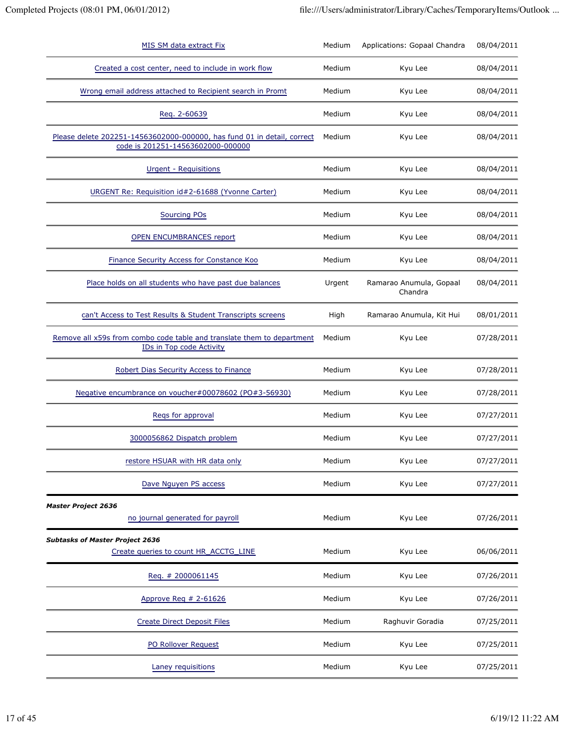| MIS SM data extract Fix                                                                                      | Medium | Applications: Gopaal Chandra       | 08/04/2011 |
|--------------------------------------------------------------------------------------------------------------|--------|------------------------------------|------------|
| Created a cost center, need to include in work flow                                                          | Medium | Kyu Lee                            | 08/04/2011 |
| Wrong email address attached to Recipient search in Promt                                                    | Medium | Kyu Lee                            | 08/04/2011 |
| Req. 2-60639                                                                                                 | Medium | Kyu Lee                            | 08/04/2011 |
| Please delete 202251-14563602000-000000, has fund 01 in detail, correct<br>code is 201251-14563602000-000000 | Medium | Kyu Lee                            | 08/04/2011 |
| Urgent - Requisitions                                                                                        | Medium | Kyu Lee                            | 08/04/2011 |
| URGENT Re: Requisition id#2-61688 (Yvonne Carter)                                                            | Medium | Kyu Lee                            | 08/04/2011 |
| <b>Sourcing POs</b>                                                                                          | Medium | Kyu Lee                            | 08/04/2011 |
| <b>OPEN ENCUMBRANCES report</b>                                                                              | Medium | Kyu Lee                            | 08/04/2011 |
| Finance Security Access for Constance Koo                                                                    | Medium | Kyu Lee                            | 08/04/2011 |
| Place holds on all students who have past due balances                                                       | Urgent | Ramarao Anumula, Gopaal<br>Chandra | 08/04/2011 |
| can't Access to Test Results & Student Transcripts screens                                                   | High   | Ramarao Anumula, Kit Hui           | 08/01/2011 |
| Remove all x59s from combo code table and translate them to department<br>IDs in Top code Activity           | Medium | Kyu Lee                            | 07/28/2011 |
| Robert Dias Security Access to Finance                                                                       | Medium | Kyu Lee                            | 07/28/2011 |
| Negative encumbrance on voucher#00078602 (PO#3-56930)                                                        | Medium | Kyu Lee                            | 07/28/2011 |
| Regs for approval                                                                                            | Medium | Kyu Lee                            | 07/27/2011 |
| 3000056862 Dispatch problem                                                                                  | Medium | Kyu Lee                            | 07/27/2011 |
| restore HSUAR with HR data only                                                                              | Medium | Kyu Lee                            | 07/27/2011 |
| Dave Nguyen PS access                                                                                        | Medium | Kyu Lee                            | 07/27/2011 |
| <b>Master Project 2636</b><br>no journal generated for payroll                                               | Medium | Kyu Lee                            | 07/26/2011 |
| <b>Subtasks of Master Project 2636</b><br>Create queries to count HR_ACCTG_LINE                              | Medium | Kyu Lee                            | 06/06/2011 |
| Req. # 2000061145                                                                                            | Medium | Kyu Lee                            | 07/26/2011 |
| Approve Req $# 2-61626$                                                                                      | Medium | Kyu Lee                            | 07/26/2011 |
| <b>Create Direct Deposit Files</b>                                                                           | Medium | Raghuvir Goradia                   | 07/25/2011 |
| PO Rollover Request                                                                                          | Medium | Kyu Lee                            | 07/25/2011 |
| Laney requisitions                                                                                           | Medium | Kyu Lee                            | 07/25/2011 |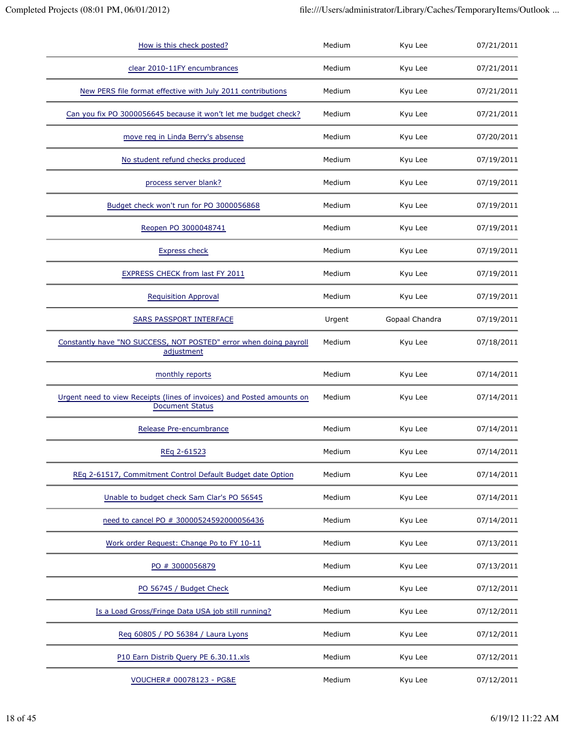| How is this check posted?                                                                        | Medium | Kyu Lee        | 07/21/2011 |
|--------------------------------------------------------------------------------------------------|--------|----------------|------------|
| clear 2010-11FY encumbrances                                                                     | Medium | Kyu Lee        | 07/21/2011 |
| New PERS file format effective with July 2011 contributions                                      | Medium | Kyu Lee        | 07/21/2011 |
| Can you fix PO 3000056645 because it won't let me budget check?                                  | Medium | Kyu Lee        | 07/21/2011 |
| move req in Linda Berry's absense                                                                | Medium | Kyu Lee        | 07/20/2011 |
| No student refund checks produced                                                                | Medium | Kyu Lee        | 07/19/2011 |
| process server blank?                                                                            | Medium | Kyu Lee        | 07/19/2011 |
| Budget check won't run for PO 3000056868                                                         | Medium | Kyu Lee        | 07/19/2011 |
| Reopen PO 3000048741                                                                             | Medium | Kyu Lee        | 07/19/2011 |
| <b>Express check</b>                                                                             | Medium | Kyu Lee        | 07/19/2011 |
| <b>EXPRESS CHECK from last FY 2011</b>                                                           | Medium | Kyu Lee        | 07/19/2011 |
| <b>Requisition Approval</b>                                                                      | Medium | Kyu Lee        | 07/19/2011 |
| <b>SARS PASSPORT INTERFACE</b>                                                                   | Urgent | Gopaal Chandra | 07/19/2011 |
| Constantly have "NO SUCCESS, NOT POSTED" error when doing payroll<br>adjustment                  | Medium | Kyu Lee        | 07/18/2011 |
| monthly reports                                                                                  | Medium | Kyu Lee        | 07/14/2011 |
| Urgent need to view Receipts (lines of invoices) and Posted amounts on<br><b>Document Status</b> | Medium | Kyu Lee        | 07/14/2011 |
| Release Pre-encumbrance                                                                          | Medium | Kyu Lee        | 07/14/2011 |
|                                                                                                  |        |                |            |
| REq 2-61523                                                                                      | Medium | Kyu Lee        | 07/14/2011 |
| REq 2-61517, Commitment Control Default Budget date Option                                       | Medium | Kyu Lee        | 07/14/2011 |
| Unable to budget check Sam Clar's PO 56545                                                       | Medium | Kyu Lee        | 07/14/2011 |
| need to cancel PO # 30000524592000056436                                                         | Medium | Kyu Lee        | 07/14/2011 |
| Work order Request: Change Po to FY 10-11                                                        | Medium | Kyu Lee        | 07/13/2011 |
| PO # 3000056879                                                                                  | Medium | Kyu Lee        | 07/13/2011 |
| PO 56745 / Budget Check                                                                          | Medium | Kyu Lee        | 07/12/2011 |
| Is a Load Gross/Fringe Data USA job still running?                                               | Medium | Kyu Lee        | 07/12/2011 |
| Reg 60805 / PO 56384 / Laura Lyons                                                               | Medium | Kyu Lee        | 07/12/2011 |
| P10 Earn Distrib Query PE 6.30.11.xls                                                            | Medium | Kyu Lee        | 07/12/2011 |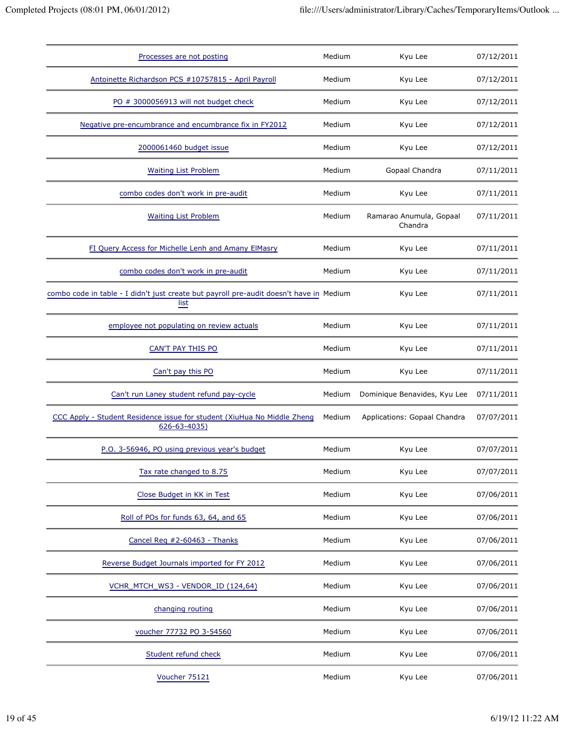| Processes are not posting                                                                       | Medium | Kyu Lee                            | 07/12/2011 |
|-------------------------------------------------------------------------------------------------|--------|------------------------------------|------------|
| Antoinette Richardson PCS #10757815 - April Payroll                                             | Medium | Kyu Lee                            | 07/12/2011 |
| PO # 3000056913 will not budget check                                                           | Medium | Kyu Lee                            | 07/12/2011 |
| Negative pre-encumbrance and encumbrance fix in FY2012                                          | Medium | Kyu Lee                            | 07/12/2011 |
| 2000061460 budget issue                                                                         | Medium | Kyu Lee                            | 07/12/2011 |
| <b>Waiting List Problem</b>                                                                     | Medium | Gopaal Chandra                     | 07/11/2011 |
| combo codes don't work in pre-audit                                                             | Medium | Kyu Lee                            | 07/11/2011 |
| <b>Waiting List Problem</b>                                                                     | Medium | Ramarao Anumula, Gopaal<br>Chandra | 07/11/2011 |
| FI Query Access for Michelle Lenh and Amany ElMasry                                             | Medium | Kyu Lee                            | 07/11/2011 |
| combo codes don't work in pre-audit                                                             | Medium | Kyu Lee                            | 07/11/2011 |
| combo code in table - I didn't just create but payroll pre-audit doesn't have in Medium<br>list |        | Kyu Lee                            | 07/11/2011 |
| employee not populating on review actuals                                                       | Medium | Kyu Lee                            | 07/11/2011 |
| CAN'T PAY THIS PO                                                                               | Medium | Kyu Lee                            | 07/11/2011 |
| Can't pay this PO                                                                               | Medium | Kyu Lee                            | 07/11/2011 |
| Can't run Laney student refund pay-cycle                                                        | Medium | Dominique Benavides, Kyu Lee       | 07/11/2011 |
| CCC Apply - Student Residence issue for student (XiuHua No Middle Zheng<br>626-63-4035)         | Medium | Applications: Gopaal Chandra       | 07/07/2011 |
| P.O. 3-56946, PO using previous year's budget                                                   | Medium | Kyu Lee                            | 07/07/2011 |
| Tax rate changed to 8.75                                                                        | Medium | Kyu Lee                            | 07/07/2011 |
| Close Budget in KK in Test                                                                      | Medium | Kyu Lee                            | 07/06/2011 |
| Roll of POs for funds 63, 64, and 65                                                            | Medium | Kyu Lee                            | 07/06/2011 |
| Cancel Reg #2-60463 - Thanks                                                                    | Medium | Kyu Lee                            | 07/06/2011 |
| Reverse Budget Journals imported for FY 2012                                                    | Medium | Kyu Lee                            | 07/06/2011 |
| VCHR_MTCH_WS3 - VENDOR_ID (124,64)                                                              | Medium | Kyu Lee                            | 07/06/2011 |
| changing routing                                                                                | Medium | Kyu Lee                            | 07/06/2011 |
| voucher 77732 PO 3-54560                                                                        | Medium | Kyu Lee                            | 07/06/2011 |
| Student refund check                                                                            | Medium | Kyu Lee                            | 07/06/2011 |
| Voucher 75121                                                                                   | Medium | Kyu Lee                            | 07/06/2011 |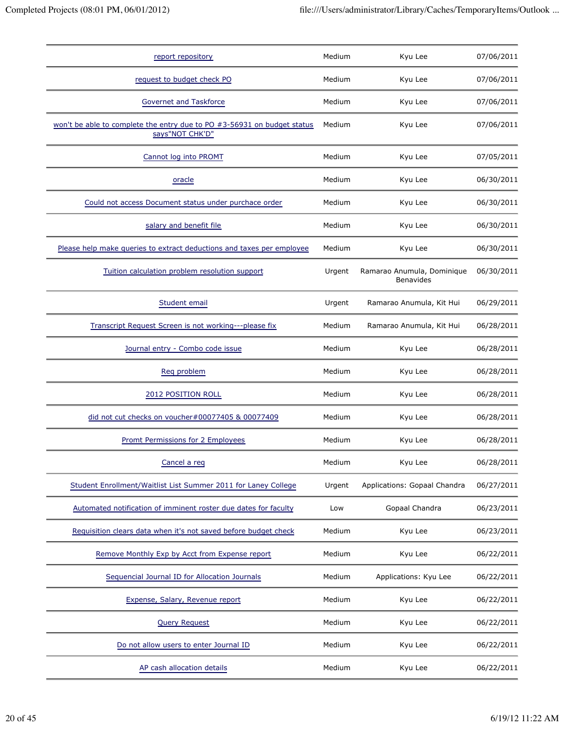| report repository                                                                          | Medium | Kyu Lee                                        | 07/06/2011 |
|--------------------------------------------------------------------------------------------|--------|------------------------------------------------|------------|
| request to budget check PO                                                                 | Medium | Kyu Lee                                        | 07/06/2011 |
| <b>Governet and Taskforce</b>                                                              | Medium | Kyu Lee                                        | 07/06/2011 |
| won't be able to complete the entry due to PO #3-56931 on budget status<br>says"NOT CHK'D" | Medium | Kyu Lee                                        | 07/06/2011 |
| Cannot log into PROMT                                                                      | Medium | Kyu Lee                                        | 07/05/2011 |
| oracle                                                                                     | Medium | Kyu Lee                                        | 06/30/2011 |
| Could not access Document status under purchace order                                      | Medium | Kyu Lee                                        | 06/30/2011 |
| salary and benefit file                                                                    | Medium | Kyu Lee                                        | 06/30/2011 |
| Please help make queries to extract deductions and taxes per employee                      | Medium | Kyu Lee                                        | 06/30/2011 |
| Tuition calculation problem resolution support                                             | Urgent | Ramarao Anumula, Dominique<br><b>Benavides</b> | 06/30/2011 |
| Student email                                                                              | Urgent | Ramarao Anumula, Kit Hui                       | 06/29/2011 |
| Transcript Request Screen is not working---please fix                                      | Medium | Ramarao Anumula, Kit Hui                       | 06/28/2011 |
| Journal entry - Combo code issue                                                           | Medium | Kyu Lee                                        | 06/28/2011 |
| Req problem                                                                                | Medium | Kyu Lee                                        | 06/28/2011 |
| 2012 POSITION ROLL                                                                         | Medium | Kyu Lee                                        | 06/28/2011 |
| did not cut checks on voucher#00077405 & 00077409                                          | Medium | Kyu Lee                                        | 06/28/2011 |
| Promt Permissions for 2 Employees                                                          | Medium | Kyu Lee                                        | 06/28/2011 |
| Cancel a req                                                                               | Medium | Kyu Lee                                        | 06/28/2011 |
| Student Enrollment/Waitlist List Summer 2011 for Laney College                             | Urgent | Applications: Gopaal Chandra                   | 06/27/2011 |
| Automated notification of imminent roster due dates for faculty                            | Low    | Gopaal Chandra                                 | 06/23/2011 |
| Requisition clears data when it's not saved before budget check                            | Medium | Kyu Lee                                        | 06/23/2011 |
| Remove Monthly Exp by Acct from Expense report                                             | Medium | Kyu Lee                                        | 06/22/2011 |
| Sequencial Journal ID for Allocation Journals                                              | Medium | Applications: Kyu Lee                          | 06/22/2011 |
| Expense, Salary, Revenue report                                                            | Medium | Kyu Lee                                        | 06/22/2011 |
| <b>Query Request</b>                                                                       | Medium | Kyu Lee                                        | 06/22/2011 |
| Do not allow users to enter Journal ID                                                     | Medium | Kyu Lee                                        | 06/22/2011 |
| AP cash allocation details                                                                 | Medium | Kyu Lee                                        | 06/22/2011 |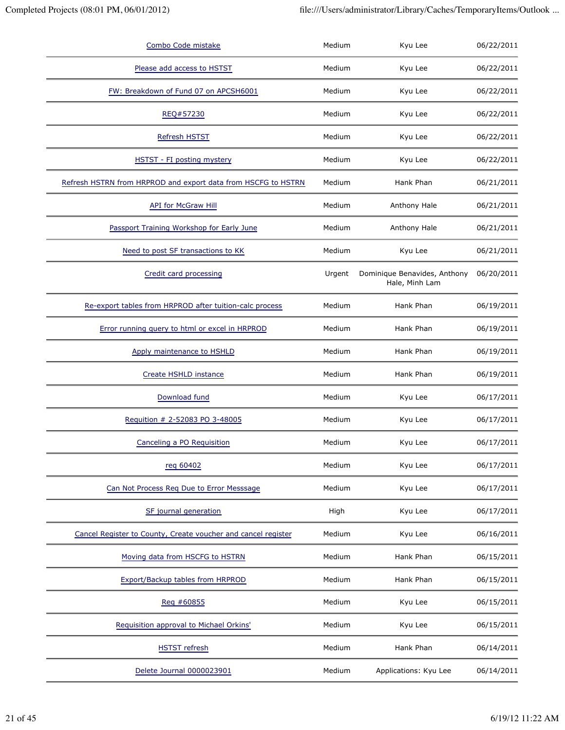| Combo Code mistake                                            | Medium | Kyu Lee                                        | 06/22/2011 |
|---------------------------------------------------------------|--------|------------------------------------------------|------------|
| Please add access to HSTST                                    | Medium | Kyu Lee                                        | 06/22/2011 |
| FW: Breakdown of Fund 07 on APCSH6001                         | Medium | Kyu Lee                                        | 06/22/2011 |
| REQ#57230                                                     | Medium | Kyu Lee                                        | 06/22/2011 |
| Refresh HSTST                                                 | Medium | Kyu Lee                                        | 06/22/2011 |
| HSTST - FI posting mystery                                    | Medium | Kyu Lee                                        | 06/22/2011 |
| Refresh HSTRN from HRPROD and export data from HSCFG to HSTRN | Medium | Hank Phan                                      | 06/21/2011 |
| API for McGraw Hill                                           | Medium | Anthony Hale                                   | 06/21/2011 |
| Passport Training Workshop for Early June                     | Medium | Anthony Hale                                   | 06/21/2011 |
| Need to post SF transactions to KK                            | Medium | Kyu Lee                                        | 06/21/2011 |
| Credit card processing                                        | Urgent | Dominique Benavides, Anthony<br>Hale, Minh Lam | 06/20/2011 |
| Re-export tables from HRPROD after tuition-calc process       | Medium | Hank Phan                                      | 06/19/2011 |
| Error running query to html or excel in HRPROD                | Medium | Hank Phan                                      | 06/19/2011 |
| Apply maintenance to HSHLD                                    | Medium | Hank Phan                                      | 06/19/2011 |
| Create HSHLD instance                                         | Medium | Hank Phan                                      | 06/19/2011 |
| Download fund                                                 | Medium | Kyu Lee                                        | 06/17/2011 |
| Requition # 2-52083 PO 3-48005                                | Medium | Kyu Lee                                        | 06/17/2011 |
| Canceling a PO Requisition                                    | Medium | Kyu Lee                                        | 06/17/2011 |
| reg 60402                                                     | Medium | Kyu Lee                                        | 06/17/2011 |
| Can Not Process Req Due to Error Messsage                     | Medium | Kyu Lee                                        | 06/17/2011 |
| SF journal generation                                         | High   | Kyu Lee                                        | 06/17/2011 |
| Cancel Register to County, Create voucher and cancel register | Medium | Kyu Lee                                        | 06/16/2011 |
| Moving data from HSCFG to HSTRN                               | Medium | Hank Phan                                      | 06/15/2011 |
| Export/Backup tables from HRPROD                              | Medium | Hank Phan                                      | 06/15/2011 |
| Reg #60855                                                    | Medium | Kyu Lee                                        | 06/15/2011 |
| Requisition approval to Michael Orkins'                       | Medium | Kyu Lee                                        | 06/15/2011 |
| <b>HSTST</b> refresh                                          | Medium | Hank Phan                                      | 06/14/2011 |
| Delete Journal 0000023901                                     | Medium | Applications: Kyu Lee                          | 06/14/2011 |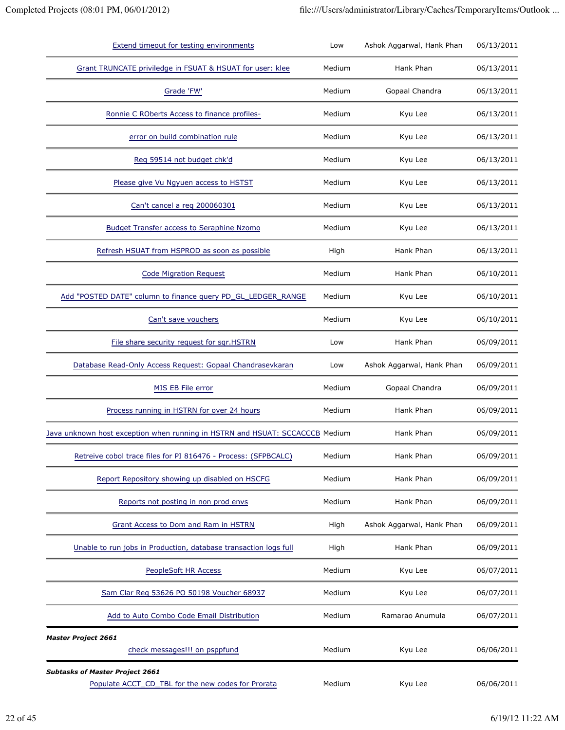| <b>Extend timeout for testing environments</b>                                               | Low    | Ashok Aggarwal, Hank Phan | 06/13/2011 |
|----------------------------------------------------------------------------------------------|--------|---------------------------|------------|
| Grant TRUNCATE priviledge in FSUAT & HSUAT for user: klee                                    | Medium | Hank Phan                 | 06/13/2011 |
| Grade 'FW'                                                                                   | Medium | Gopaal Chandra            | 06/13/2011 |
| Ronnie C ROberts Access to finance profiles-                                                 | Medium | Kyu Lee                   | 06/13/2011 |
| error on build combination rule                                                              | Medium | Kyu Lee                   | 06/13/2011 |
| Reg 59514 not budget chk'd                                                                   | Medium | Kyu Lee                   | 06/13/2011 |
| Please give Vu Ngyuen access to HSTST                                                        | Medium | Kyu Lee                   | 06/13/2011 |
| Can't cancel a req 200060301                                                                 | Medium | Kyu Lee                   | 06/13/2011 |
| <b>Budget Transfer access to Seraphine Nzomo</b>                                             | Medium | Kyu Lee                   | 06/13/2011 |
| Refresh HSUAT from HSPROD as soon as possible                                                | High   | Hank Phan                 | 06/13/2011 |
| <b>Code Migration Request</b>                                                                | Medium | Hank Phan                 | 06/10/2011 |
| Add "POSTED DATE" column to finance query PD_GL_LEDGER_RANGE                                 | Medium | Kyu Lee                   | 06/10/2011 |
| Can't save vouchers                                                                          | Medium | Kyu Lee                   | 06/10/2011 |
| File share security request for sqr.HSTRN                                                    | Low    | Hank Phan                 | 06/09/2011 |
| Database Read-Only Access Request: Gopaal Chandrasevkaran                                    | Low    | Ashok Aggarwal, Hank Phan | 06/09/2011 |
| MIS EB File error                                                                            | Medium | Gopaal Chandra            | 06/09/2011 |
| Process running in HSTRN for over 24 hours                                                   | Medium | Hank Phan                 | 06/09/2011 |
| Java unknown host exception when running in HSTRN and HSUAT: SCCACCCB Medium                 |        | Hank Phan                 | 06/09/2011 |
| Retreive cobol trace files for PI 816476 - Process: (SFPBCALC)                               | Medium | Hank Phan                 | 06/09/2011 |
| Report Repository showing up disabled on HSCFG                                               | Medium | Hank Phan                 | 06/09/2011 |
| Reports not posting in non prod envs                                                         | Medium | Hank Phan                 | 06/09/2011 |
| <b>Grant Access to Dom and Ram in HSTRN</b>                                                  | High   | Ashok Aggarwal, Hank Phan | 06/09/2011 |
| Unable to run jobs in Production, database transaction logs full                             | High   | Hank Phan                 | 06/09/2011 |
| PeopleSoft HR Access                                                                         | Medium | Kyu Lee                   | 06/07/2011 |
| Sam Clar Reg 53626 PO 50198 Voucher 68937                                                    | Medium | Kyu Lee                   | 06/07/2011 |
| Add to Auto Combo Code Email Distribution                                                    | Medium | Ramarao Anumula           | 06/07/2011 |
| <b>Master Project 2661</b><br>check messages!!! on psppfund                                  | Medium | Kyu Lee                   | 06/06/2011 |
| <b>Subtasks of Master Project 2661</b><br>Populate ACCT_CD_TBL for the new codes for Prorata | Medium | Kyu Lee                   | 06/06/2011 |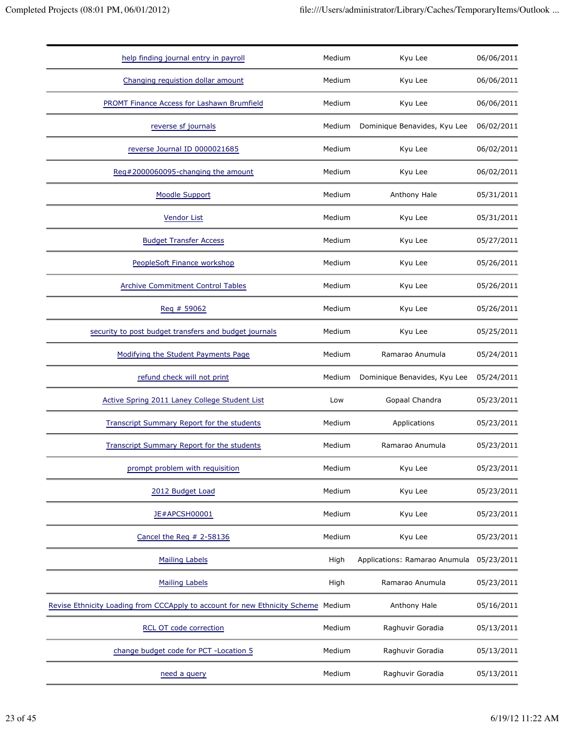| help finding journal entry in payroll                                             | Medium | Kyu Lee                       | 06/06/2011 |
|-----------------------------------------------------------------------------------|--------|-------------------------------|------------|
| Changing requistion dollar amount                                                 | Medium | Kyu Lee                       | 06/06/2011 |
| PROMT Finance Access for Lashawn Brumfield                                        | Medium | Kyu Lee                       | 06/06/2011 |
| reverse sf journals                                                               | Medium | Dominique Benavides, Kyu Lee  | 06/02/2011 |
| reverse Journal ID 0000021685                                                     | Medium | Kyu Lee                       | 06/02/2011 |
| Reg#2000060095-changing the amount                                                | Medium | Kyu Lee                       | 06/02/2011 |
| <b>Moodle Support</b>                                                             | Medium | Anthony Hale                  | 05/31/2011 |
| <b>Vendor List</b>                                                                | Medium | Kyu Lee                       | 05/31/2011 |
| <b>Budget Transfer Access</b>                                                     | Medium | Kyu Lee                       | 05/27/2011 |
| PeopleSoft Finance workshop                                                       | Medium | Kyu Lee                       | 05/26/2011 |
| <b>Archive Commitment Control Tables</b>                                          | Medium | Kyu Lee                       | 05/26/2011 |
| Reg # 59062                                                                       | Medium | Kyu Lee                       | 05/26/2011 |
| security to post budget transfers and budget journals                             | Medium | Kyu Lee                       | 05/25/2011 |
| Modifying the Student Payments Page                                               | Medium | Ramarao Anumula               | 05/24/2011 |
| refund check will not print                                                       | Medium | Dominique Benavides, Kyu Lee  | 05/24/2011 |
| Active Spring 2011 Laney College Student List                                     | Low    | Gopaal Chandra                | 05/23/2011 |
| <b>Transcript Summary Report for the students</b>                                 | Medium | Applications                  | 05/23/2011 |
| <b>Transcript Summary Report for the students</b>                                 | Medium | Ramarao Anumula               | 05/23/2011 |
| prompt problem with requisition                                                   | Medium | Kyu Lee                       | 05/23/2011 |
| 2012 Budget Load                                                                  | Medium | Kyu Lee                       | 05/23/2011 |
| JE#APCSH00001                                                                     | Medium | Kyu Lee                       | 05/23/2011 |
| Cancel the Reg # 2-58136                                                          | Medium | Kyu Lee                       | 05/23/2011 |
| <b>Mailing Labels</b>                                                             | High   | Applications: Ramarao Anumula | 05/23/2011 |
| <b>Mailing Labels</b>                                                             | High   | Ramarao Anumula               | 05/23/2011 |
| Revise Ethnicity Loading from CCCApply to account for new Ethnicity Scheme Medium |        | Anthony Hale                  | 05/16/2011 |
| <b>RCL OT code correction</b>                                                     | Medium | Raghuvir Goradia              | 05/13/2011 |
| change budget code for PCT - Location 5                                           | Medium | Raghuvir Goradia              | 05/13/2011 |
| need a query                                                                      | Medium | Raghuvir Goradia              | 05/13/2011 |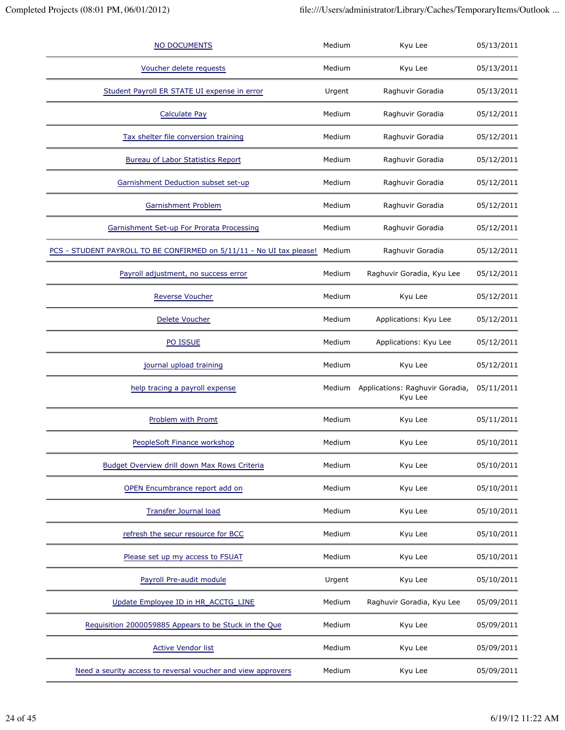| NO DOCUMENTS                                                         | Medium | Kyu Lee                                    | 05/13/2011 |
|----------------------------------------------------------------------|--------|--------------------------------------------|------------|
| Voucher delete requests                                              | Medium | Kyu Lee                                    | 05/13/2011 |
| Student Payroll ER STATE UI expense in error                         | Urgent | Raghuvir Goradia                           | 05/13/2011 |
| <b>Calculate Pay</b>                                                 | Medium | Raghuvir Goradia                           | 05/12/2011 |
| Tax shelter file conversion training                                 | Medium | Raghuvir Goradia                           | 05/12/2011 |
| <b>Bureau of Labor Statistics Report</b>                             | Medium | Raghuvir Goradia                           | 05/12/2011 |
| Garnishment Deduction subset set-up                                  | Medium | Raghuvir Goradia                           | 05/12/2011 |
| Garnishment Problem                                                  | Medium | Raghuvir Goradia                           | 05/12/2011 |
| Garnishment Set-up For Prorata Processing                            | Medium | Raghuvir Goradia                           | 05/12/2011 |
| PCS - STUDENT PAYROLL TO BE CONFIRMED on 5/11/11 - No UI tax please! | Medium | Raghuvir Goradia                           | 05/12/2011 |
| Payroll adjustment, no success error                                 | Medium | Raghuvir Goradia, Kyu Lee                  | 05/12/2011 |
| <b>Reverse Voucher</b>                                               | Medium | Kyu Lee                                    | 05/12/2011 |
| Delete Voucher                                                       | Medium | Applications: Kyu Lee                      | 05/12/2011 |
| PO ISSUE                                                             | Medium | Applications: Kyu Lee                      | 05/12/2011 |
| journal upload training                                              | Medium | Kyu Lee                                    | 05/12/2011 |
| help tracing a payroll expense                                       | Medium | Applications: Raghuvir Goradia,<br>Kyu Lee | 05/11/2011 |
| Problem with Promt                                                   | Medium | Kyu Lee                                    | 05/11/2011 |
| PeopleSoft Finance workshop                                          | Medium | Kyu Lee                                    | 05/10/2011 |
| Budget Overview drill down Max Rows Criteria                         | Medium | Kyu Lee                                    | 05/10/2011 |
| OPEN Encumbrance report add on                                       | Medium | Kyu Lee                                    | 05/10/2011 |
| <b>Transfer Journal load</b>                                         | Medium | Kyu Lee                                    | 05/10/2011 |
| refresh the secur resource for BCC                                   | Medium | Kyu Lee                                    | 05/10/2011 |
| Please set up my access to FSUAT                                     | Medium | Kyu Lee                                    | 05/10/2011 |
| Payroll Pre-audit module                                             | Urgent | Kyu Lee                                    | 05/10/2011 |
| Update Employee ID in HR_ACCTG_LINE                                  | Medium | Raghuvir Goradia, Kyu Lee                  | 05/09/2011 |
| Requisition 2000059885 Appears to be Stuck in the Que                | Medium | Kyu Lee                                    | 05/09/2011 |
| <b>Active Vendor list</b>                                            | Medium | Kyu Lee                                    | 05/09/2011 |
| Need a seurity access to reversal voucher and view approvers         | Medium | Kyu Lee                                    | 05/09/2011 |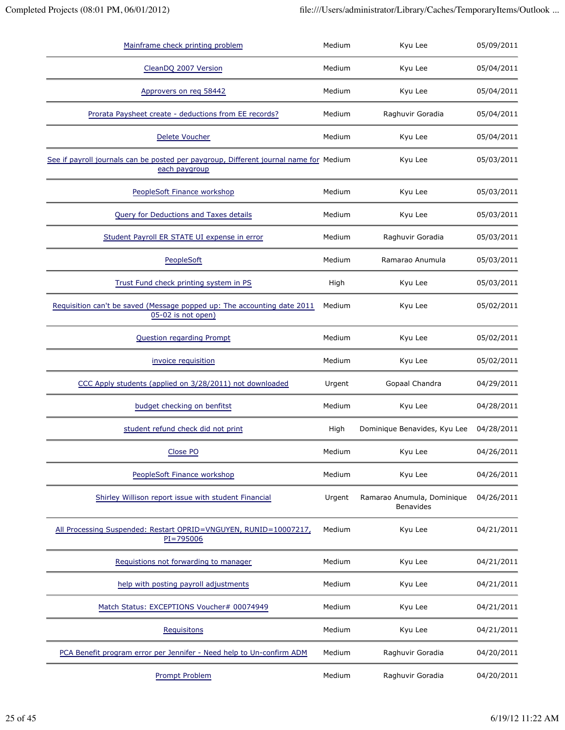| Mainframe check printing problem                                                                       | Medium | Kyu Lee                                 | 05/09/2011 |
|--------------------------------------------------------------------------------------------------------|--------|-----------------------------------------|------------|
| CleanDQ 2007 Version                                                                                   | Medium | Kyu Lee                                 | 05/04/2011 |
| Approvers on req 58442                                                                                 | Medium | Kyu Lee                                 | 05/04/2011 |
| Prorata Paysheet create - deductions from EE records?                                                  | Medium | Raghuvir Goradia                        | 05/04/2011 |
| Delete Voucher                                                                                         | Medium | Kyu Lee                                 | 05/04/2011 |
| See if payroll journals can be posted per paygroup, Different journal name for Medium<br>each paygroup |        | Kyu Lee                                 | 05/03/2011 |
| PeopleSoft Finance workshop                                                                            | Medium | Kyu Lee                                 | 05/03/2011 |
| Query for Deductions and Taxes details                                                                 | Medium | Kyu Lee                                 | 05/03/2011 |
| Student Payroll ER STATE UI expense in error                                                           | Medium | Raghuvir Goradia                        | 05/03/2011 |
| PeopleSoft                                                                                             | Medium | Ramarao Anumula                         | 05/03/2011 |
| Trust Fund check printing system in PS                                                                 | High   | Kyu Lee                                 | 05/03/2011 |
| Requisition can't be saved (Message popped up: The accounting date 2011<br>05-02 is not open)          | Medium | Kyu Lee                                 | 05/02/2011 |
| <b>Question regarding Prompt</b>                                                                       | Medium | Kyu Lee                                 | 05/02/2011 |
| invoice requisition                                                                                    | Medium | Kyu Lee                                 | 05/02/2011 |
| CCC Apply students (applied on 3/28/2011) not downloaded                                               | Urgent | Gopaal Chandra                          | 04/29/2011 |
| budget checking on benfitst                                                                            | Medium | Kyu Lee                                 | 04/28/2011 |
| student refund check did not print                                                                     | High   | Dominique Benavides, Kyu Lee            | 04/28/2011 |
| Close PO                                                                                               | Medium | Kyu Lee                                 | 04/26/2011 |
| PeopleSoft Finance workshop                                                                            | Medium | Kyu Lee                                 | 04/26/2011 |
| Shirley Willison report issue with student Financial                                                   | Urgent | Ramarao Anumula, Dominique<br>Benavides | 04/26/2011 |
| All Processing Suspended: Restart OPRID=VNGUYEN, RUNID=10007217,<br>$PI = 795006$                      | Medium | Kyu Lee                                 | 04/21/2011 |
| Requistions not forwarding to manager                                                                  | Medium | Kyu Lee                                 | 04/21/2011 |
| help with posting payroll adjustments                                                                  | Medium | Kyu Lee                                 | 04/21/2011 |
| Match Status: EXCEPTIONS Voucher# 00074949                                                             | Medium | Kyu Lee                                 | 04/21/2011 |
| Requisitons                                                                                            | Medium | Kyu Lee                                 | 04/21/2011 |
| PCA Benefit program error per Jennifer - Need help to Un-confirm ADM                                   | Medium | Raghuvir Goradia                        | 04/20/2011 |
| <b>Prompt Problem</b>                                                                                  | Medium | Raghuvir Goradia                        | 04/20/2011 |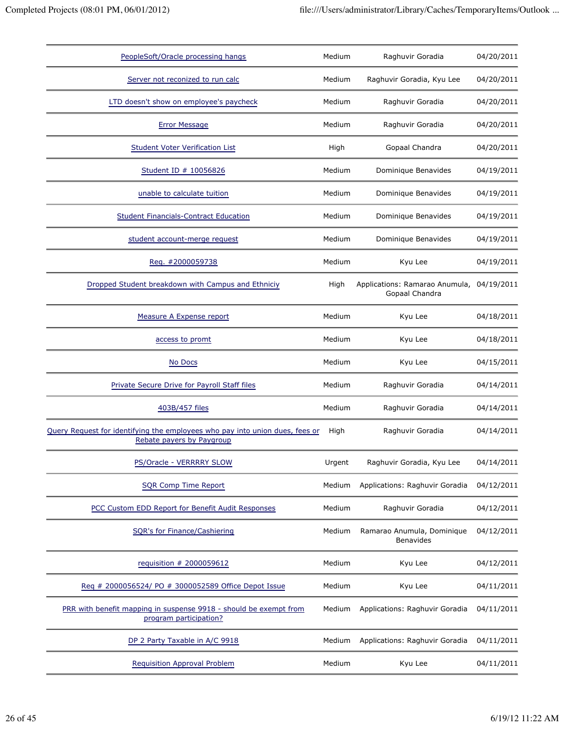| PeopleSoft/Oracle processing hangs                                                                        | Medium | Raghuvir Goradia                                            | 04/20/2011 |
|-----------------------------------------------------------------------------------------------------------|--------|-------------------------------------------------------------|------------|
| Server not reconized to run calc                                                                          | Medium | Raghuvir Goradia, Kyu Lee                                   | 04/20/2011 |
| LTD doesn't show on employee's paycheck                                                                   | Medium | Raghuvir Goradia                                            | 04/20/2011 |
| <b>Error Message</b>                                                                                      | Medium | Raghuvir Goradia                                            | 04/20/2011 |
| <b>Student Voter Verification List</b>                                                                    | High   | Gopaal Chandra                                              | 04/20/2011 |
| Student ID # 10056826                                                                                     | Medium | Dominique Benavides                                         | 04/19/2011 |
| unable to calculate tuition                                                                               | Medium | Dominique Benavides                                         | 04/19/2011 |
| <b>Student Financials-Contract Education</b>                                                              | Medium | Dominique Benavides                                         | 04/19/2011 |
| student account-merge request                                                                             | Medium | Dominique Benavides                                         | 04/19/2011 |
| Req. #2000059738                                                                                          | Medium | Kyu Lee                                                     | 04/19/2011 |
| Dropped Student breakdown with Campus and Ethniciy                                                        | High   | Applications: Ramarao Anumula, 04/19/2011<br>Gopaal Chandra |            |
| Measure A Expense report                                                                                  | Medium | Kyu Lee                                                     | 04/18/2011 |
| access to promt                                                                                           | Medium | Kyu Lee                                                     | 04/18/2011 |
| No Docs                                                                                                   | Medium | Kyu Lee                                                     | 04/15/2011 |
| Private Secure Drive for Payroll Staff files                                                              | Medium | Raghuvir Goradia                                            | 04/14/2011 |
| 403B/457 files                                                                                            | Medium | Raghuvir Goradia                                            | 04/14/2011 |
| Query Request for identifying the employees who pay into union dues, fees or<br>Rebate payers by Paygroup | High   | Raghuvir Goradia                                            | 04/14/2011 |
| PS/Oracle - VERRRRY SLOW                                                                                  | Urgent | Raghuvir Goradia, Kyu Lee                                   | 04/14/2011 |
| <b>SQR Comp Time Report</b>                                                                               | Medium | Applications: Raghuvir Goradia                              | 04/12/2011 |
| PCC Custom EDD Report for Benefit Audit Responses                                                         | Medium | Raghuvir Goradia                                            | 04/12/2011 |
| SQR's for Finance/Cashiering                                                                              | Medium | Ramarao Anumula, Dominique<br><b>Benavides</b>              | 04/12/2011 |
| requisition # 2000059612                                                                                  | Medium | Kyu Lee                                                     | 04/12/2011 |
| Req # 2000056524/ PO # 3000052589 Office Depot Issue                                                      | Medium | Kyu Lee                                                     | 04/11/2011 |
| PRR with benefit mapping in suspense 9918 - should be exempt from<br>program participation?               | Medium | Applications: Raghuvir Goradia                              | 04/11/2011 |
| DP 2 Party Taxable in A/C 9918                                                                            | Medium | Applications: Raghuvir Goradia                              | 04/11/2011 |
| Requisition Approval Problem                                                                              | Medium | Kyu Lee                                                     | 04/11/2011 |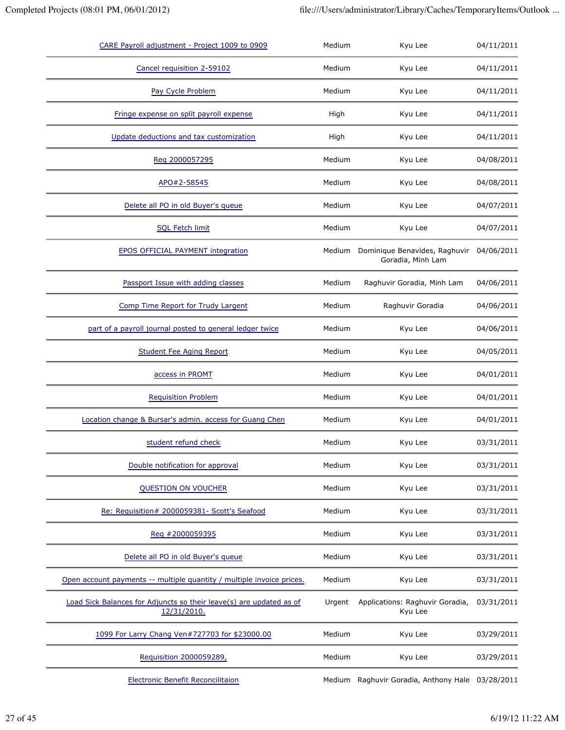| CARE Payroll adjustment - Project 1009 to 0909                                     | Medium | Kyu Lee                                            | 04/11/2011 |
|------------------------------------------------------------------------------------|--------|----------------------------------------------------|------------|
| Cancel requisition 2-59102                                                         | Medium | Kyu Lee                                            | 04/11/2011 |
| Pay Cycle Problem                                                                  | Medium | Kyu Lee                                            | 04/11/2011 |
| Fringe expense on split payroll expense                                            | High   | Kyu Lee                                            | 04/11/2011 |
| Update deductions and tax customization                                            | High   | Kyu Lee                                            | 04/11/2011 |
| Reg 2000057295                                                                     | Medium | Kyu Lee                                            | 04/08/2011 |
| APO#2-58545                                                                        | Medium | Kyu Lee                                            | 04/08/2011 |
| Delete all PO in old Buyer's queue                                                 | Medium | Kyu Lee                                            | 04/07/2011 |
| <b>SQL Fetch limit</b>                                                             | Medium | Kyu Lee                                            | 04/07/2011 |
| <b>EPOS OFFICIAL PAYMENT integration</b>                                           | Medium | Dominique Benavides, Raghuvir<br>Goradia, Minh Lam | 04/06/2011 |
| Passport Issue with adding classes                                                 | Medium | Raghuvir Goradia, Minh Lam                         | 04/06/2011 |
| Comp Time Report for Trudy Largent                                                 | Medium | Raghuvir Goradia                                   | 04/06/2011 |
| part of a payroll journal posted to general ledger twice                           | Medium | Kyu Lee                                            | 04/06/2011 |
| <b>Student Fee Aging Report</b>                                                    | Medium | Kyu Lee                                            | 04/05/2011 |
| access in PROMT                                                                    | Medium | Kyu Lee                                            | 04/01/2011 |
| <b>Requisition Problem</b>                                                         | Medium | Kyu Lee                                            | 04/01/2011 |
| Location change & Bursar's admin. access for Guang Chen                            | Medium | Kyu Lee                                            | 04/01/2011 |
| student refund check                                                               | Medium | Kyu Lee                                            | 03/31/2011 |
| Double notification for approval                                                   | Medium | Kyu Lee                                            | 03/31/2011 |
| QUESTION ON VOUCHER                                                                | Medium | Kyu Lee                                            | 03/31/2011 |
| Re: Requisition# 2000059381- Scott's Seafood                                       | Medium | Kyu Lee                                            | 03/31/2011 |
| Req #2000059395                                                                    | Medium | Kyu Lee                                            | 03/31/2011 |
| Delete all PO in old Buyer's queue                                                 | Medium | Kyu Lee                                            | 03/31/2011 |
| Open account payments -- multiple quantity / multiple invoice prices.              | Medium | Kyu Lee                                            | 03/31/2011 |
| Load Sick Balances for Adjuncts so their leave(s) are updated as of<br>12/31/2010. | Urgent | Applications: Raghuvir Goradia,<br>Kyu Lee         | 03/31/2011 |
| 1099 For Larry Chang Ven#727703 for \$23000.00                                     | Medium | Kyu Lee                                            | 03/29/2011 |
| Requisition 2000059289,                                                            | Medium | Kyu Lee                                            | 03/29/2011 |
| Electronic Benefit Reconcilitaion                                                  |        | Medium Raghuvir Goradia, Anthony Hale 03/28/2011   |            |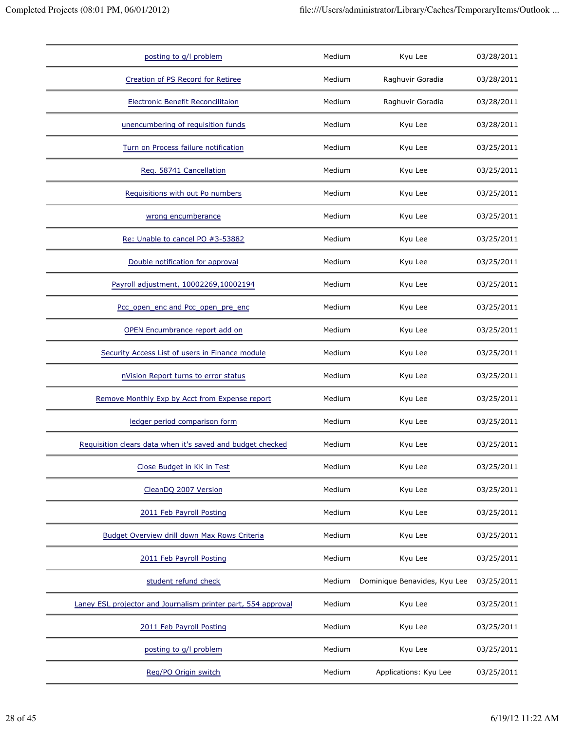| posting to g/l problem                                        | Medium | Kyu Lee                      | 03/28/2011 |
|---------------------------------------------------------------|--------|------------------------------|------------|
| Creation of PS Record for Retiree                             | Medium | Raghuvir Goradia             | 03/28/2011 |
| <b>Electronic Benefit Reconcilitaion</b>                      | Medium | Raghuvir Goradia             | 03/28/2011 |
| unencumbering of requisition funds                            | Medium | Kyu Lee                      | 03/28/2011 |
| Turn on Process failure notification                          | Medium | Kyu Lee                      | 03/25/2011 |
| Req. 58741 Cancellation                                       | Medium | Kyu Lee                      | 03/25/2011 |
| Requisitions with out Po numbers                              | Medium | Kyu Lee                      | 03/25/2011 |
| wrong encumberance                                            | Medium | Kyu Lee                      | 03/25/2011 |
| Re: Unable to cancel PO #3-53882                              | Medium | Kyu Lee                      | 03/25/2011 |
| Double notification for approval                              | Medium | Kyu Lee                      | 03/25/2011 |
| Payroll adjustment, 10002269,10002194                         | Medium | Kyu Lee                      | 03/25/2011 |
| Pcc open enc and Pcc open pre enc                             | Medium | Kyu Lee                      | 03/25/2011 |
| OPEN Encumbrance report add on                                | Medium | Kyu Lee                      | 03/25/2011 |
| Security Access List of users in Finance module               | Medium | Kyu Lee                      | 03/25/2011 |
| nVision Report turns to error status                          | Medium | Kyu Lee                      | 03/25/2011 |
| Remove Monthly Exp by Acct from Expense report                | Medium | Kyu Lee                      | 03/25/2011 |
| ledger period comparison form                                 | Medium | Kyu Lee                      | 03/25/2011 |
| Requisition clears data when it's saved and budget checked    | Medium | Kyu Lee                      | 03/25/2011 |
| Close Budget in KK in Test                                    | Medium | Kyu Lee                      | 03/25/2011 |
| CleanDQ 2007 Version                                          | Medium | Kyu Lee                      | 03/25/2011 |
| 2011 Feb Payroll Posting                                      | Medium | Kyu Lee                      | 03/25/2011 |
| Budget Overview drill down Max Rows Criteria                  | Medium | Kyu Lee                      | 03/25/2011 |
| 2011 Feb Payroll Posting                                      | Medium | Kyu Lee                      | 03/25/2011 |
| student refund check                                          | Medium | Dominique Benavides, Kyu Lee | 03/25/2011 |
| Laney ESL projector and Journalism printer part, 554 approval | Medium | Kyu Lee                      | 03/25/2011 |
| 2011 Feb Payroll Posting                                      | Medium | Kyu Lee                      | 03/25/2011 |
| posting to g/l problem                                        | Medium | Kyu Lee                      | 03/25/2011 |
| Reg/PO Origin switch                                          | Medium | Applications: Kyu Lee        | 03/25/2011 |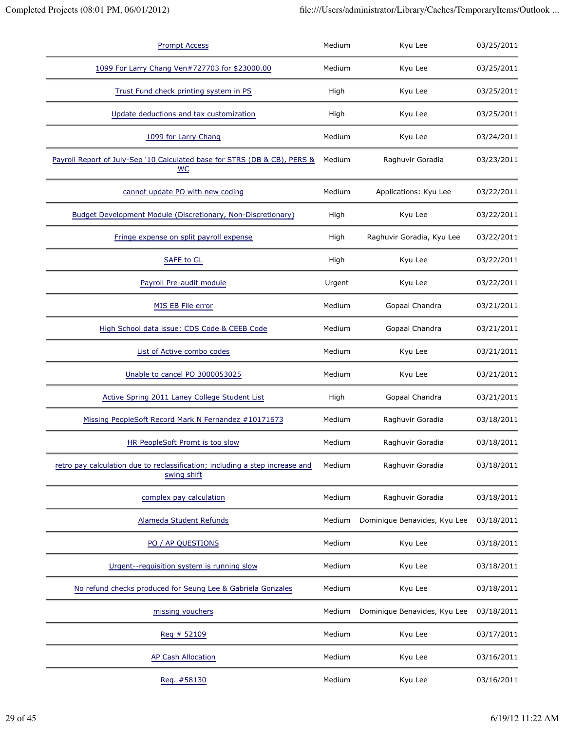| <b>Prompt Access</b>                                                                        | Medium | Kyu Lee                      | 03/25/2011 |
|---------------------------------------------------------------------------------------------|--------|------------------------------|------------|
| 1099 For Larry Chang Ven#727703 for \$23000.00                                              | Medium | Kyu Lee                      | 03/25/2011 |
| Trust Fund check printing system in PS                                                      | High   | Kyu Lee                      | 03/25/2011 |
| Update deductions and tax customization                                                     | High   | Kyu Lee                      | 03/25/2011 |
| 1099 for Larry Chang                                                                        | Medium | Kyu Lee                      | 03/24/2011 |
| Payroll Report of July-Sep '10 Calculated base for STRS (DB & CB), PERS &<br>$wc$           | Medium | Raghuvir Goradia             | 03/23/2011 |
| cannot update PO with new coding                                                            | Medium | Applications: Kyu Lee        | 03/22/2011 |
| <b>Budget Development Module (Discretionary, Non-Discretionary)</b>                         | High   | Kyu Lee                      | 03/22/2011 |
| Fringe expense on split payroll expense                                                     | High   | Raghuvir Goradia, Kyu Lee    | 03/22/2011 |
| <b>SAFE to GL</b>                                                                           | High   | Kyu Lee                      | 03/22/2011 |
| Payroll Pre-audit module                                                                    | Urgent | Kyu Lee                      | 03/22/2011 |
| MIS EB File error                                                                           | Medium | Gopaal Chandra               | 03/21/2011 |
| High School data issue: CDS Code & CEEB Code                                                | Medium | Gopaal Chandra               | 03/21/2011 |
| List of Active combo codes                                                                  | Medium | Kyu Lee                      | 03/21/2011 |
| Unable to cancel PO 3000053025                                                              | Medium | Kyu Lee                      | 03/21/2011 |
| Active Spring 2011 Laney College Student List                                               | High   | Gopaal Chandra               | 03/21/2011 |
| Missing PeopleSoft Record Mark N Fernandez #10171673                                        | Medium | Raghuvir Goradia             | 03/18/2011 |
| <b>HR PeopleSoft Promt is too slow</b>                                                      | Medium | Raghuvir Goradia             | 03/18/2011 |
| retro pay calculation due to reclassification; including a step increase and<br>swing shift | Medium | Raghuvir Goradia             | 03/18/2011 |
| complex pay calculation                                                                     | Medium | Raghuvir Goradia             | 03/18/2011 |
| Alameda Student Refunds                                                                     | Medium | Dominique Benavides, Kyu Lee | 03/18/2011 |
| PO / AP QUESTIONS                                                                           | Medium | Kyu Lee                      | 03/18/2011 |
| Urgent--requisition system is running slow                                                  | Medium | Kyu Lee                      | 03/18/2011 |
| No refund checks produced for Seung Lee & Gabriela Gonzales                                 | Medium | Kyu Lee                      | 03/18/2011 |
| missing vouchers                                                                            | Medium | Dominique Benavides, Kyu Lee | 03/18/2011 |
| $Req \# 52109$                                                                              | Medium | Kyu Lee                      | 03/17/2011 |
| <b>AP Cash Allocation</b>                                                                   | Medium | Kyu Lee                      | 03/16/2011 |
| Req. #58130                                                                                 | Medium | Kyu Lee                      | 03/16/2011 |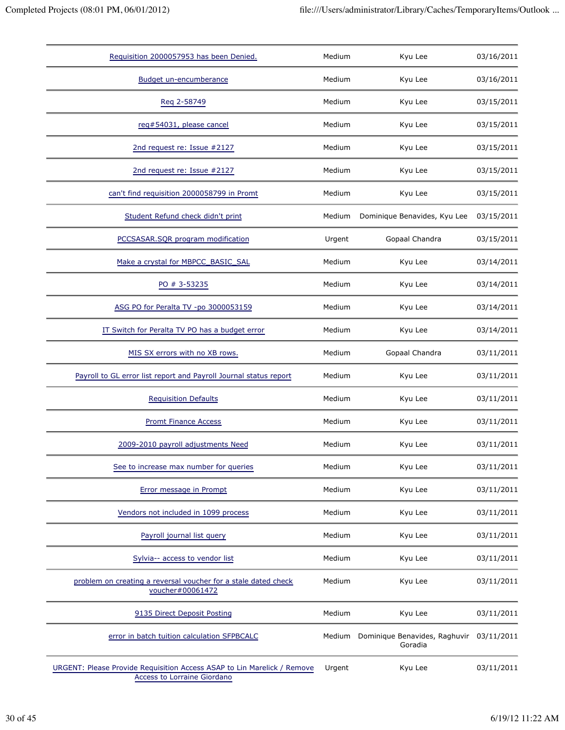| Requisition 2000057953 has been Denied.                                                                | Medium | Kyu Lee                                  | 03/16/2011 |
|--------------------------------------------------------------------------------------------------------|--------|------------------------------------------|------------|
| <b>Budget un-encumberance</b>                                                                          | Medium | Kyu Lee                                  | 03/16/2011 |
| Reg 2-58749                                                                                            | Medium | Kyu Lee                                  | 03/15/2011 |
| reg#54031, please cancel                                                                               | Medium | Kyu Lee                                  | 03/15/2011 |
| 2nd request re: Issue #2127                                                                            | Medium | Kyu Lee                                  | 03/15/2011 |
| 2nd request re: Issue #2127                                                                            | Medium | Kyu Lee                                  | 03/15/2011 |
| can't find requisition 2000058799 in Promt                                                             | Medium | Kyu Lee                                  | 03/15/2011 |
| Student Refund check didn't print                                                                      | Medium | Dominique Benavides, Kyu Lee             | 03/15/2011 |
| PCCSASAR.SQR program modification                                                                      | Urgent | Gopaal Chandra                           | 03/15/2011 |
| Make a crystal for MBPCC_BASIC_SAL                                                                     | Medium | Kyu Lee                                  | 03/14/2011 |
| PO # 3-53235                                                                                           | Medium | Kyu Lee                                  | 03/14/2011 |
| ASG PO for Peralta TV -po 3000053159                                                                   | Medium | Kyu Lee                                  | 03/14/2011 |
| IT Switch for Peralta TV PO has a budget error                                                         | Medium | Kyu Lee                                  | 03/14/2011 |
| MIS SX errors with no XB rows.                                                                         | Medium | Gopaal Chandra                           | 03/11/2011 |
| Payroll to GL error list report and Payroll Journal status report                                      | Medium | Kyu Lee                                  | 03/11/2011 |
| <b>Requisition Defaults</b>                                                                            | Medium | Kyu Lee                                  | 03/11/2011 |
| <b>Promt Finance Access</b>                                                                            | Medium | Kyu Lee                                  | 03/11/2011 |
| 2009-2010 payroll adjustments Need                                                                     | Medium | Kyu Lee                                  | 03/11/2011 |
| See to increase max number for queries                                                                 | Medium | Kyu Lee                                  | 03/11/2011 |
| Error message in Prompt                                                                                | Medium | Kyu Lee                                  | 03/11/2011 |
| Vendors not included in 1099 process                                                                   | Medium | Kyu Lee                                  | 03/11/2011 |
| Payroll journal list query                                                                             | Medium | Kyu Lee                                  | 03/11/2011 |
| Sylvia-- access to vendor list                                                                         | Medium | Kyu Lee                                  | 03/11/2011 |
| problem on creating a reversal voucher for a stale dated check<br>voucher#00061472                     | Medium | Kyu Lee                                  | 03/11/2011 |
| 9135 Direct Deposit Posting                                                                            | Medium | Kyu Lee                                  | 03/11/2011 |
| error in batch tuition calculation SFPBCALC                                                            | Medium | Dominique Benavides, Raghuvir<br>Goradia | 03/11/2011 |
| URGENT: Please Provide Requisition Access ASAP to Lin Marelick / Remove<br>Access to Lorraine Giordano | Urgent | Kyu Lee                                  | 03/11/2011 |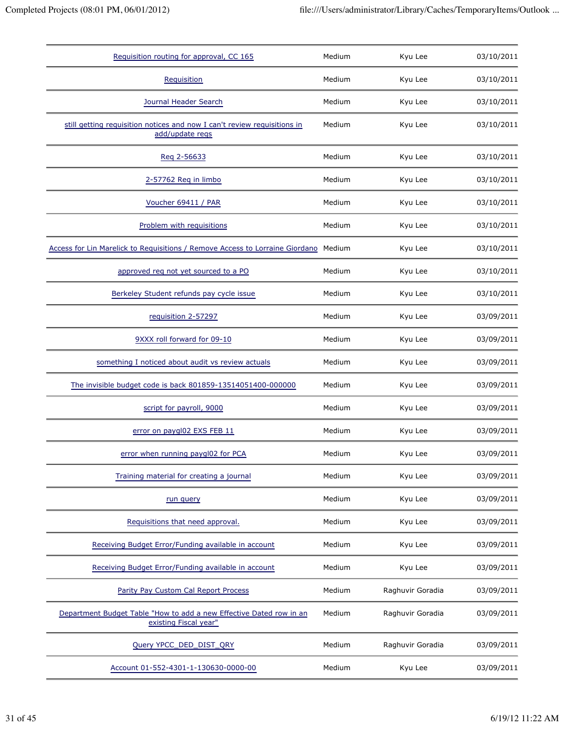| Requisition routing for approval, CC 165                                                     | Medium | Kyu Lee          | 03/10/2011 |
|----------------------------------------------------------------------------------------------|--------|------------------|------------|
| Requisition                                                                                  | Medium | Kyu Lee          | 03/10/2011 |
| Journal Header Search                                                                        | Medium | Kyu Lee          | 03/10/2011 |
| still getting requisition notices and now I can't review requisitions in<br>add/update regs  | Medium | Kyu Lee          | 03/10/2011 |
| Reg 2-56633                                                                                  | Medium | Kyu Lee          | 03/10/2011 |
| 2-57762 Req in limbo                                                                         | Medium | Kyu Lee          | 03/10/2011 |
| Voucher 69411 / PAR                                                                          | Medium | Kyu Lee          | 03/10/2011 |
| Problem with requisitions                                                                    | Medium | Kyu Lee          | 03/10/2011 |
| Access for Lin Marelick to Requisitions / Remove Access to Lorraine Giordano                 | Medium | Kyu Lee          | 03/10/2011 |
| approved req not yet sourced to a PO                                                         | Medium | Kyu Lee          | 03/10/2011 |
| Berkeley Student refunds pay cycle issue                                                     | Medium | Kyu Lee          | 03/10/2011 |
| requisition 2-57297                                                                          | Medium | Kyu Lee          | 03/09/2011 |
| 9XXX roll forward for 09-10                                                                  | Medium | Kyu Lee          | 03/09/2011 |
| something I noticed about audit vs review actuals                                            | Medium | Kyu Lee          | 03/09/2011 |
| The invisible budget code is back 801859-13514051400-000000                                  | Medium | Kyu Lee          | 03/09/2011 |
| script for payroll, 9000                                                                     | Medium | Kyu Lee          | 03/09/2011 |
| error on paygl02 EXS FEB 11                                                                  | Medium | Kyu Lee          | 03/09/2011 |
| error when running paygl02 for PCA                                                           | Medium | Kyu Lee          | 03/09/2011 |
| Training material for creating a journal                                                     | Medium | Kyu Lee          | 03/09/2011 |
| run query                                                                                    | Medium | Kyu Lee          | 03/09/2011 |
| Requisitions that need approval.                                                             | Medium | Kyu Lee          | 03/09/2011 |
| Receiving Budget Error/Funding available in account                                          | Medium | Kyu Lee          | 03/09/2011 |
| Receiving Budget Error/Funding available in account                                          | Medium | Kyu Lee          | 03/09/2011 |
| Parity Pay Custom Cal Report Process                                                         | Medium | Raghuvir Goradia | 03/09/2011 |
| Department Budget Table "How to add a new Effective Dated row in an<br>existing Fiscal year" | Medium | Raghuvir Goradia | 03/09/2011 |
| Query YPCC_DED_DIST_QRY                                                                      | Medium | Raghuvir Goradia | 03/09/2011 |
| Account 01-552-4301-1-130630-0000-00                                                         | Medium | Kyu Lee          | 03/09/2011 |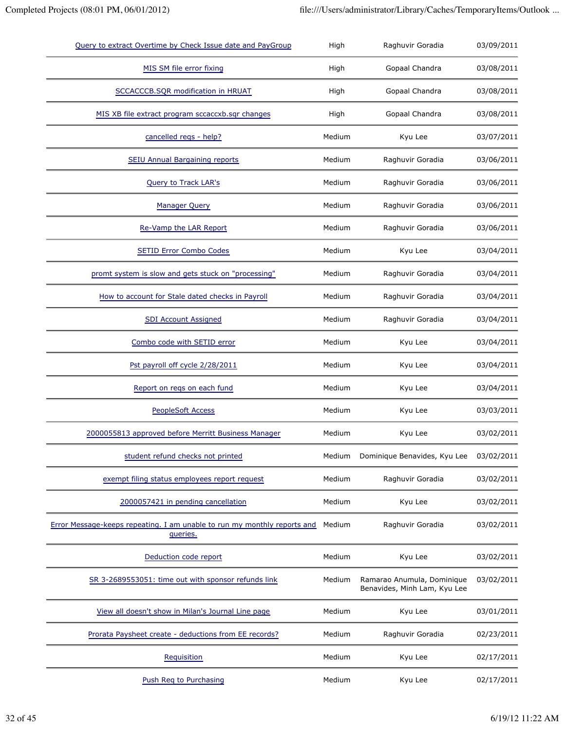| Query to extract Overtime by Check Issue date and PayGroup                           | High   | Raghuvir Goradia                                           | 03/09/2011 |
|--------------------------------------------------------------------------------------|--------|------------------------------------------------------------|------------|
| MIS SM file error fixing                                                             | High   | Gopaal Chandra                                             | 03/08/2011 |
| SCCACCCB.SQR modification in HRUAT                                                   | High   | Gopaal Chandra                                             | 03/08/2011 |
| MIS XB file extract program sccaccxb.sqr changes                                     | High   | Gopaal Chandra                                             | 03/08/2011 |
| cancelled regs - help?                                                               | Medium | Kyu Lee                                                    | 03/07/2011 |
| <b>SEIU Annual Bargaining reports</b>                                                | Medium | Raghuvir Goradia                                           | 03/06/2011 |
| <b>Query to Track LAR's</b>                                                          | Medium | Raghuvir Goradia                                           | 03/06/2011 |
| <b>Manager Query</b>                                                                 | Medium | Raghuvir Goradia                                           | 03/06/2011 |
| Re-Vamp the LAR Report                                                               | Medium | Raghuvir Goradia                                           | 03/06/2011 |
| <b>SETID Error Combo Codes</b>                                                       | Medium | Kyu Lee                                                    | 03/04/2011 |
| promt system is slow and gets stuck on "processing"                                  | Medium | Raghuvir Goradia                                           | 03/04/2011 |
| How to account for Stale dated checks in Payroll                                     | Medium | Raghuvir Goradia                                           | 03/04/2011 |
| <b>SDI Account Assigned</b>                                                          | Medium | Raghuvir Goradia                                           | 03/04/2011 |
| Combo code with SETID error                                                          | Medium | Kyu Lee                                                    | 03/04/2011 |
| Pst payroll off cycle 2/28/2011                                                      | Medium | Kyu Lee                                                    | 03/04/2011 |
| Report on reqs on each fund                                                          | Medium | Kyu Lee                                                    | 03/04/2011 |
| <b>PeopleSoft Access</b>                                                             | Medium | Kyu Lee                                                    | 03/03/2011 |
| 2000055813 approved before Merritt Business Manager                                  | Medium | Kyu Lee                                                    | 03/02/2011 |
| student refund checks not printed                                                    | Medium | Dominique Benavides, Kyu Lee                               | 03/02/2011 |
| exempt filing status employees report request                                        | Medium | Raghuvir Goradia                                           | 03/02/2011 |
| 2000057421 in pending cancellation                                                   | Medium | Kyu Lee                                                    | 03/02/2011 |
| Error Message-keeps repeating. I am unable to run my monthly reports and<br>queries. | Medium | Raghuvir Goradia                                           | 03/02/2011 |
| Deduction code report                                                                | Medium | Kyu Lee                                                    | 03/02/2011 |
| SR 3-2689553051: time out with sponsor refunds link                                  | Medium | Ramarao Anumula, Dominique<br>Benavides, Minh Lam, Kyu Lee | 03/02/2011 |
| View all doesn't show in Milan's Journal Line page                                   | Medium | Kyu Lee                                                    | 03/01/2011 |
| Prorata Paysheet create - deductions from EE records?                                | Medium | Raghuvir Goradia                                           | 02/23/2011 |
| Requisition                                                                          | Medium | Kyu Lee                                                    | 02/17/2011 |
| Push Req to Purchasing                                                               | Medium | Kyu Lee                                                    | 02/17/2011 |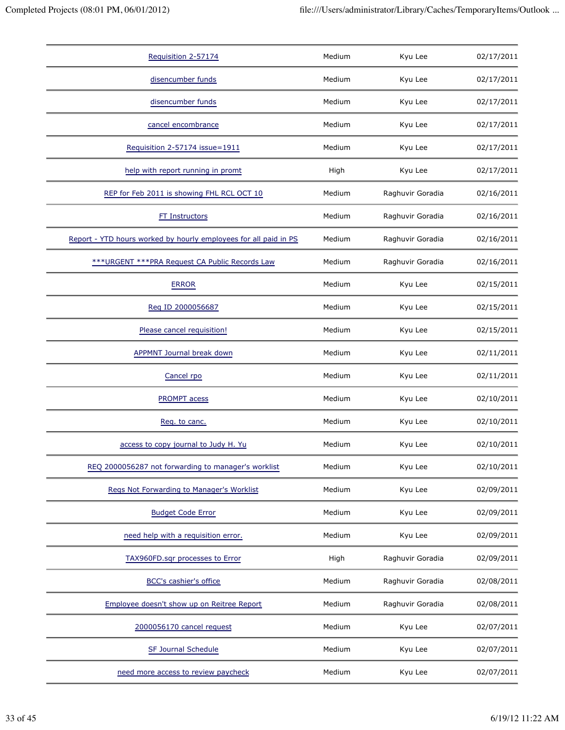| Requisition 2-57174                                              | Medium | Kyu Lee          | 02/17/2011 |
|------------------------------------------------------------------|--------|------------------|------------|
| disencumber funds                                                | Medium | Kyu Lee          | 02/17/2011 |
| disencumber funds                                                | Medium | Kyu Lee          | 02/17/2011 |
| cancel encombrance                                               | Medium | Kyu Lee          | 02/17/2011 |
| Requisition 2-57174 issue=1911                                   | Medium | Kyu Lee          | 02/17/2011 |
| help with report running in promt                                | High   | Kyu Lee          | 02/17/2011 |
| REP for Feb 2011 is showing FHL RCL OCT 10                       | Medium | Raghuvir Goradia | 02/16/2011 |
| <b>FT Instructors</b>                                            | Medium | Raghuvir Goradia | 02/16/2011 |
| Report - YTD hours worked by hourly employees for all paid in PS | Medium | Raghuvir Goradia | 02/16/2011 |
| *** URGENT *** PRA Request CA Public Records Law                 | Medium | Raghuvir Goradia | 02/16/2011 |
| <b>ERROR</b>                                                     | Medium | Kyu Lee          | 02/15/2011 |
| Reg ID 2000056687                                                | Medium | Kyu Lee          | 02/15/2011 |
| Please cancel requisition!                                       | Medium | Kyu Lee          | 02/15/2011 |
| <b>APPMNT Journal break down</b>                                 | Medium | Kyu Lee          | 02/11/2011 |
| Cancel rpo                                                       | Medium | Kyu Lee          | 02/11/2011 |
| <b>PROMPT</b> acess                                              | Medium | Kyu Lee          | 02/10/2011 |
| Req. to canc.                                                    | Medium | Kyu Lee          | 02/10/2011 |
| access to copy journal to Judy H. Yu                             | Medium | Kyu Lee          | 02/10/2011 |
| REQ 2000056287 not forwarding to manager's worklist              | Medium | Kyu Lee          | 02/10/2011 |
| Regs Not Forwarding to Manager's Worklist                        | Medium | Kyu Lee          | 02/09/2011 |
| <b>Budget Code Error</b>                                         | Medium | Kyu Lee          | 02/09/2011 |
| need help with a requisition error.                              | Medium | Kyu Lee          | 02/09/2011 |
| TAX960FD.sqr processes to Error                                  | High   | Raghuvir Goradia | 02/09/2011 |
| <b>BCC's cashier's office</b>                                    | Medium | Raghuvir Goradia | 02/08/2011 |
| Employee doesn't show up on Reitree Report                       | Medium | Raghuvir Goradia | 02/08/2011 |
| 2000056170 cancel request                                        | Medium | Kyu Lee          | 02/07/2011 |
| SF Journal Schedule                                              | Medium | Kyu Lee          | 02/07/2011 |
| need more access to review paycheck                              | Medium | Kyu Lee          | 02/07/2011 |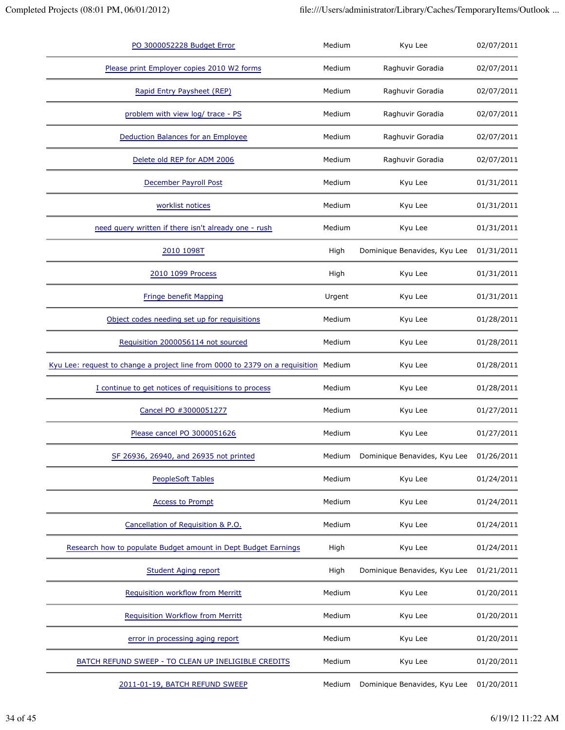| PO 3000052228 Budget Error                                                          | Medium | Kyu Lee                      | 02/07/2011 |
|-------------------------------------------------------------------------------------|--------|------------------------------|------------|
| Please print Employer copies 2010 W2 forms                                          | Medium | Raghuvir Goradia             | 02/07/2011 |
| Rapid Entry Paysheet (REP)                                                          | Medium | Raghuvir Goradia             | 02/07/2011 |
| problem with view log/ trace - PS                                                   | Medium | Raghuvir Goradia             | 02/07/2011 |
| Deduction Balances for an Employee                                                  | Medium | Raghuvir Goradia             | 02/07/2011 |
| Delete old REP for ADM 2006                                                         | Medium | Raghuvir Goradia             | 02/07/2011 |
| December Payroll Post                                                               | Medium | Kyu Lee                      | 01/31/2011 |
| worklist notices                                                                    | Medium | Kyu Lee                      | 01/31/2011 |
| need query written if there isn't already one - rush                                | Medium | Kyu Lee                      | 01/31/2011 |
| 2010 1098T                                                                          | High   | Dominique Benavides, Kyu Lee | 01/31/2011 |
| 2010 1099 Process                                                                   | High   | Kyu Lee                      | 01/31/2011 |
| Fringe benefit Mapping                                                              | Urgent | Kyu Lee                      | 01/31/2011 |
| Object codes needing set up for requisitions                                        | Medium | Kyu Lee                      | 01/28/2011 |
| Requisition 2000056114 not sourced                                                  | Medium | Kyu Lee                      | 01/28/2011 |
| Kyu Lee: request to change a project line from 0000 to 2379 on a requisition Medium |        | Kyu Lee                      | 01/28/2011 |
| I continue to get notices of requisitions to process                                | Medium | Kyu Lee                      | 01/28/2011 |
| Cancel PO #3000051277                                                               | Medium | Kyu Lee                      | 01/27/2011 |
| Please cancel PO 3000051626                                                         | Medium | Kyu Lee                      | 01/27/2011 |
| SF 26936, 26940, and 26935 not printed                                              | Medium | Dominique Benavides, Kyu Lee | 01/26/2011 |
| <b>PeopleSoft Tables</b>                                                            | Medium | Kyu Lee                      | 01/24/2011 |
| <b>Access to Prompt</b>                                                             | Medium | Kyu Lee                      | 01/24/2011 |
| Cancellation of Requisition & P.O.                                                  | Medium | Kyu Lee                      | 01/24/2011 |
| Research how to populate Budget amount in Dept Budget Earnings                      | High   | Kyu Lee                      | 01/24/2011 |
| Student Aging report                                                                | High   | Dominique Benavides, Kyu Lee | 01/21/2011 |
| Requisition workflow from Merritt                                                   | Medium | Kyu Lee                      | 01/20/2011 |
| <b>Requisition Workflow from Merritt</b>                                            | Medium | Kyu Lee                      | 01/20/2011 |
| error in processing aging report                                                    | Medium | Kyu Lee                      | 01/20/2011 |
| BATCH REFUND SWEEP - TO CLEAN UP INELIGIBLE CREDITS                                 | Medium | Kyu Lee                      | 01/20/2011 |
| 2011-01-19, BATCH REFUND SWEEP                                                      | Medium | Dominique Benavides, Kyu Lee | 01/20/2011 |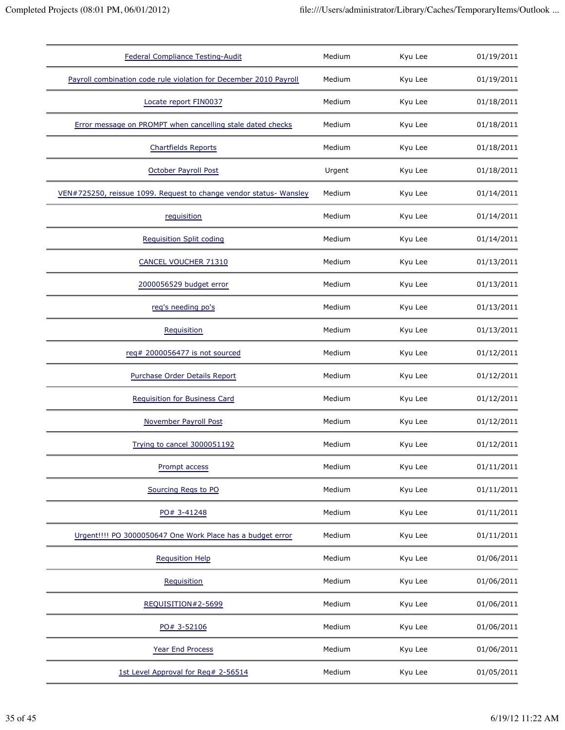| <b>Federal Compliance Testing-Audit</b>                            | Medium | Kyu Lee | 01/19/2011 |
|--------------------------------------------------------------------|--------|---------|------------|
| Payroll combination code rule violation for December 2010 Payroll  | Medium | Kyu Lee | 01/19/2011 |
| Locate report FIN0037                                              | Medium | Kyu Lee | 01/18/2011 |
| Error message on PROMPT when cancelling stale dated checks         | Medium | Kyu Lee | 01/18/2011 |
| <b>Chartfields Reports</b>                                         | Medium | Kyu Lee | 01/18/2011 |
| October Payroll Post                                               | Urgent | Kyu Lee | 01/18/2011 |
| VEN#725250, reissue 1099. Request to change vendor status- Wansley | Medium | Kyu Lee | 01/14/2011 |
| requisition                                                        | Medium | Kyu Lee | 01/14/2011 |
| <b>Requisition Split coding</b>                                    | Medium | Kyu Lee | 01/14/2011 |
| CANCEL VOUCHER 71310                                               | Medium | Kyu Lee | 01/13/2011 |
| 2000056529 budget error                                            | Medium | Kyu Lee | 01/13/2011 |
| reg's needing po's                                                 | Medium | Kyu Lee | 01/13/2011 |
| Requisition                                                        | Medium | Kyu Lee | 01/13/2011 |
| req# 2000056477 is not sourced                                     | Medium | Kyu Lee | 01/12/2011 |
| Purchase Order Details Report                                      | Medium | Kyu Lee | 01/12/2011 |
| <b>Requisition for Business Card</b>                               | Medium | Kyu Lee | 01/12/2011 |
| <b>November Payroll Post</b>                                       | Medium | Kyu Lee | 01/12/2011 |
| Trying to cancel 3000051192                                        | Medium | Kyu Lee | 01/12/2011 |
| Prompt access                                                      | Medium | Kyu Lee | 01/11/2011 |
| Sourcing Regs to PO                                                | Medium | Kyu Lee | 01/11/2011 |
| PO# 3-41248                                                        | Medium | Kyu Lee | 01/11/2011 |
| Urgent!!!! PO 3000050647 One Work Place has a budget error         | Medium | Kyu Lee | 01/11/2011 |
| <b>Requsition Help</b>                                             | Medium | Kyu Lee | 01/06/2011 |
| Requisition                                                        | Medium | Kyu Lee | 01/06/2011 |
| REQUISITION#2-5699                                                 | Medium | Kyu Lee | 01/06/2011 |
| PO# 3-52106                                                        | Medium | Kyu Lee | 01/06/2011 |
| Year End Process                                                   | Medium | Kyu Lee | 01/06/2011 |
| 1st Level Approval for Req# 2-56514                                | Medium | Kyu Lee | 01/05/2011 |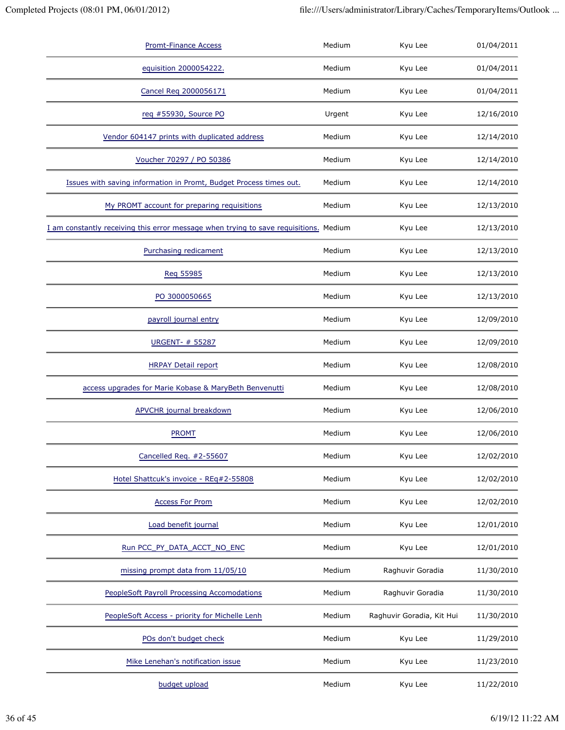| <b>Promt-Finance Access</b>                                                           | Medium | Kyu Lee                   | 01/04/2011 |
|---------------------------------------------------------------------------------------|--------|---------------------------|------------|
| equisition 2000054222.                                                                | Medium | Kyu Lee                   | 01/04/2011 |
| Cancel Req 2000056171                                                                 | Medium | Kyu Lee                   | 01/04/2011 |
| req #55930, Source PO                                                                 | Urgent | Kyu Lee                   | 12/16/2010 |
| Vendor 604147 prints with duplicated address                                          | Medium | Kyu Lee                   | 12/14/2010 |
| Voucher 70297 / PO 50386                                                              | Medium | Kyu Lee                   | 12/14/2010 |
| Issues with saving information in Promt, Budget Process times out.                    | Medium | Kyu Lee                   | 12/14/2010 |
| My PROMT account for preparing requisitions                                           | Medium | Kyu Lee                   | 12/13/2010 |
| I am constantly receiving this error message when trying to save requisitions. Medium |        | Kyu Lee                   | 12/13/2010 |
| Purchasing redicament                                                                 | Medium | Kyu Lee                   | 12/13/2010 |
| Reg 55985                                                                             | Medium | Kyu Lee                   | 12/13/2010 |
| PO 3000050665                                                                         | Medium | Kyu Lee                   | 12/13/2010 |
| payroll journal entry                                                                 | Medium | Kyu Lee                   | 12/09/2010 |
| URGENT- # 55287                                                                       | Medium | Kyu Lee                   | 12/09/2010 |
| <b>HRPAY Detail report</b>                                                            | Medium | Kyu Lee                   | 12/08/2010 |
| access upgrades for Marie Kobase & MaryBeth Benvenutti                                | Medium | Kyu Lee                   | 12/08/2010 |
| <b>APVCHR</b> journal breakdown                                                       | Medium | Kyu Lee                   | 12/06/2010 |
| <b>PROMT</b>                                                                          | Medium | Kyu Lee                   | 12/06/2010 |
| Cancelled Req. #2-55607                                                               | Medium | Kyu Lee                   | 12/02/2010 |
| Hotel Shattcuk's invoice - REq#2-55808                                                | Medium | Kyu Lee                   | 12/02/2010 |
| <b>Access For Prom</b>                                                                | Medium | Kyu Lee                   | 12/02/2010 |
| Load benefit journal                                                                  | Medium | Kyu Lee                   | 12/01/2010 |
| Run PCC_PY_DATA_ACCT_NO_ENC                                                           | Medium | Kyu Lee                   | 12/01/2010 |
| missing prompt data from 11/05/10                                                     | Medium | Raghuvir Goradia          | 11/30/2010 |
| <b>PeopleSoft Payroll Processing Accomodations</b>                                    | Medium | Raghuvir Goradia          | 11/30/2010 |
| PeopleSoft Access - priority for Michelle Lenh                                        | Medium | Raghuvir Goradia, Kit Hui | 11/30/2010 |
| POs don't budget check                                                                | Medium | Kyu Lee                   | 11/29/2010 |
| Mike Lenehan's notification issue                                                     | Medium | Kyu Lee                   | 11/23/2010 |
| budget upload                                                                         | Medium | Kyu Lee                   | 11/22/2010 |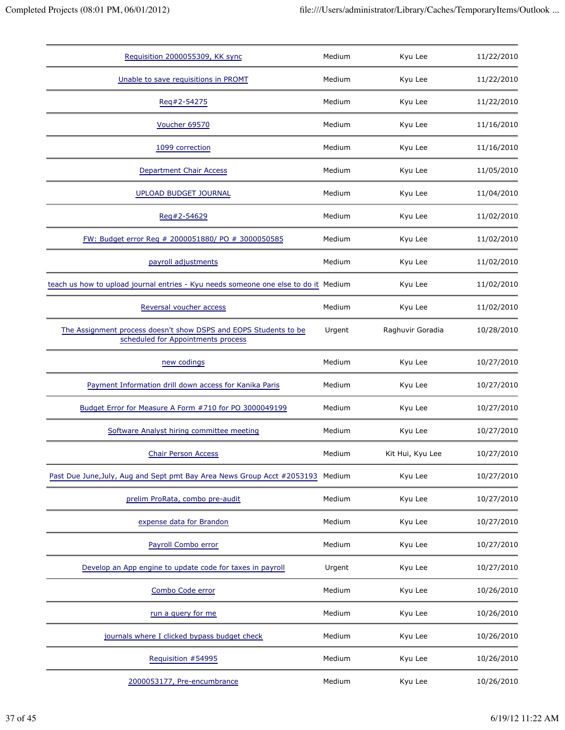| Requisition 2000055309, KK sync                                                                        | Medium | Kyu Lee          | 11/22/2010 |
|--------------------------------------------------------------------------------------------------------|--------|------------------|------------|
| Unable to save requisitions in PROMT                                                                   | Medium | Kyu Lee          | 11/22/2010 |
| Reg#2-54275                                                                                            | Medium | Kyu Lee          | 11/22/2010 |
| Voucher 69570                                                                                          | Medium | Kyu Lee          | 11/16/2010 |
| 1099 correction                                                                                        | Medium | Kyu Lee          | 11/16/2010 |
| <b>Department Chair Access</b>                                                                         | Medium | Kyu Lee          | 11/05/2010 |
| <b>UPLOAD BUDGET JOURNAL</b>                                                                           | Medium | Kyu Lee          | 11/04/2010 |
| Reg#2-54629                                                                                            | Medium | Kyu Lee          | 11/02/2010 |
| FW: Budget error Req # 2000051880/ PO # 3000050585                                                     | Medium | Kyu Lee          | 11/02/2010 |
| payroll adjustments                                                                                    | Medium | Kyu Lee          | 11/02/2010 |
| teach us how to upload journal entries - Kyu needs someone one else to do it Medium                    |        | Kyu Lee          | 11/02/2010 |
| Reversal voucher access                                                                                | Medium | Kyu Lee          | 11/02/2010 |
| The Assignment process doesn't show DSPS and EOPS Students to be<br>scheduled for Appointments process | Urgent | Raghuvir Goradia | 10/28/2010 |
| new codings                                                                                            | Medium | Kyu Lee          | 10/27/2010 |
| Payment Information drill down access for Kanika Paris                                                 | Medium | Kyu Lee          | 10/27/2010 |
| Budget Error for Measure A Form #710 for PO 3000049199                                                 | Medium | Kyu Lee          | 10/27/2010 |
| Software Analyst hiring committee meeting                                                              | Medium | Kyu Lee          | 10/27/2010 |
| <b>Chair Person Access</b>                                                                             | Medium | Kit Hui, Kyu Lee | 10/27/2010 |
| Past Due June, July, Aug and Sept pmt Bay Area News Group Acct #2053193                                | Medium | Kyu Lee          | 10/27/2010 |
| prelim ProRata, combo pre-audit                                                                        | Medium | Kyu Lee          | 10/27/2010 |
| expense data for Brandon                                                                               | Medium | Kyu Lee          | 10/27/2010 |
| Payroll Combo error                                                                                    | Medium | Kyu Lee          | 10/27/2010 |
| Develop an App engine to update code for taxes in payroll                                              | Urgent | Kyu Lee          | 10/27/2010 |
| Combo Code error                                                                                       | Medium | Kyu Lee          | 10/26/2010 |
| run a query for me                                                                                     | Medium | Kyu Lee          | 10/26/2010 |
| journals where I clicked bypass budget check                                                           | Medium | Kyu Lee          | 10/26/2010 |
| Requisition #54995                                                                                     | Medium | Kyu Lee          | 10/26/2010 |
| 2000053177, Pre-encumbrance                                                                            | Medium | Kyu Lee          | 10/26/2010 |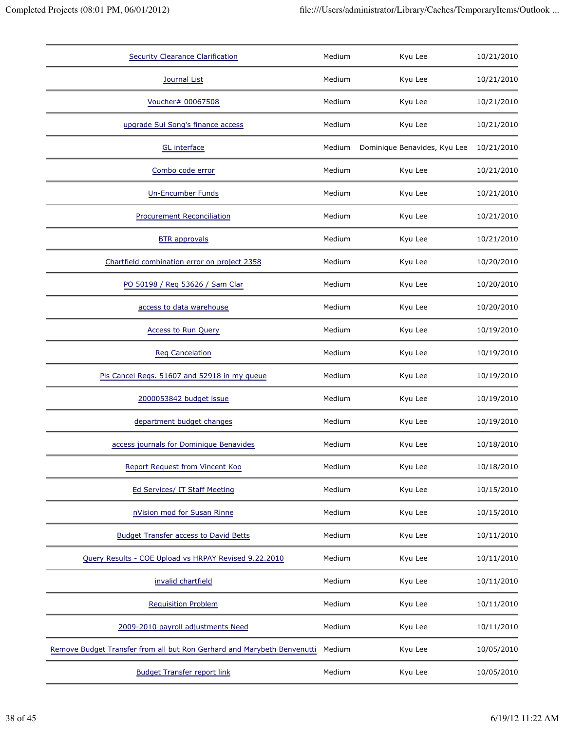| <b>Security Clearance Clarification</b>                                 | Medium | Kyu Lee                      | 10/21/2010 |
|-------------------------------------------------------------------------|--------|------------------------------|------------|
| Journal List                                                            | Medium | Kyu Lee                      | 10/21/2010 |
| Voucher# 00067508                                                       | Medium | Kyu Lee                      | 10/21/2010 |
| upgrade Sui Song's finance access                                       | Medium | Kyu Lee                      | 10/21/2010 |
| <b>GL</b> interface                                                     | Medium | Dominique Benavides, Kyu Lee | 10/21/2010 |
| Combo code error                                                        | Medium | Kyu Lee                      | 10/21/2010 |
| Un-Encumber Funds                                                       | Medium | Kyu Lee                      | 10/21/2010 |
| <b>Procurement Reconciliation</b>                                       | Medium | Kyu Lee                      | 10/21/2010 |
| <b>BTR</b> approvals                                                    | Medium | Kyu Lee                      | 10/21/2010 |
| Chartfield combination error on project 2358                            | Medium | Kyu Lee                      | 10/20/2010 |
| PO 50198 / Req 53626 / Sam Clar                                         | Medium | Kyu Lee                      | 10/20/2010 |
| access to data warehouse                                                | Medium | Kyu Lee                      | 10/20/2010 |
| <b>Access to Run Query</b>                                              | Medium | Kyu Lee                      | 10/19/2010 |
| <b>Reg Cancelation</b>                                                  | Medium | Kyu Lee                      | 10/19/2010 |
| Pls Cancel Regs. 51607 and 52918 in my queue                            | Medium | Kyu Lee                      | 10/19/2010 |
| 2000053842 budget issue                                                 | Medium | Kyu Lee                      | 10/19/2010 |
| department budget changes                                               | Medium | Kyu Lee                      | 10/19/2010 |
| access journals for Dominique Benavides                                 | Medium | Kyu Lee                      | 10/18/2010 |
| Report Request from Vincent Koo                                         | Medium | Kyu Lee                      | 10/18/2010 |
| Ed Services/ IT Staff Meeting                                           | Medium | Kyu Lee                      | 10/15/2010 |
| nVision mod for Susan Rinne                                             | Medium | Kyu Lee                      | 10/15/2010 |
| <b>Budget Transfer access to David Betts</b>                            | Medium | Kyu Lee                      | 10/11/2010 |
| Query Results - COE Upload vs HRPAY Revised 9.22.2010                   | Medium | Kyu Lee                      | 10/11/2010 |
| invalid chartfield                                                      | Medium | Kyu Lee                      | 10/11/2010 |
| <b>Requisition Problem</b>                                              | Medium | Kyu Lee                      | 10/11/2010 |
| 2009-2010 payroll adjustments Need                                      | Medium | Kyu Lee                      | 10/11/2010 |
| Remove Budget Transfer from all but Ron Gerhard and Marybeth Benvenutti | Medium | Kyu Lee                      | 10/05/2010 |
| <b>Budget Transfer report link</b>                                      | Medium | Kyu Lee                      | 10/05/2010 |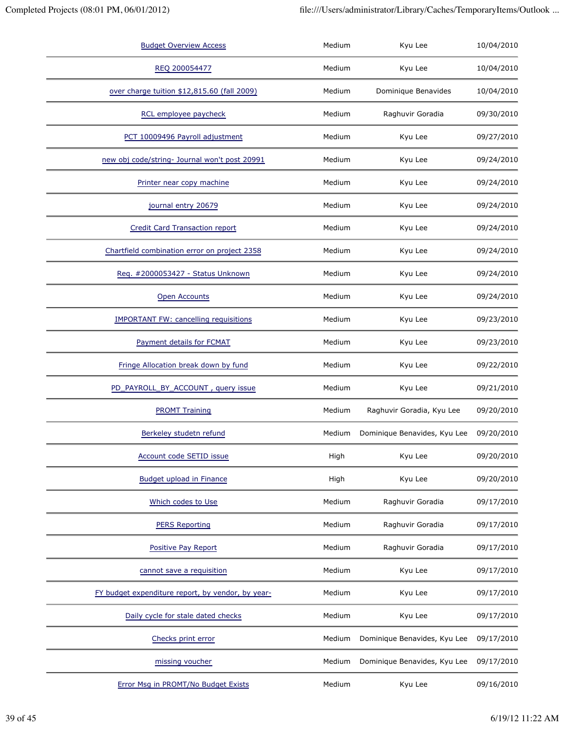| <b>Budget Overview Access</b>                     | Medium | Kyu Lee                      | 10/04/2010 |
|---------------------------------------------------|--------|------------------------------|------------|
| REQ 200054477                                     | Medium | Kyu Lee                      | 10/04/2010 |
| over charge tuition \$12,815.60 (fall 2009)       | Medium | Dominique Benavides          | 10/04/2010 |
| RCL employee paycheck                             | Medium | Raghuvir Goradia             | 09/30/2010 |
| PCT 10009496 Payroll adjustment                   | Medium | Kyu Lee                      | 09/27/2010 |
| new obj code/string- Journal won't post 20991     | Medium | Kyu Lee                      | 09/24/2010 |
| Printer near copy machine                         | Medium | Kyu Lee                      | 09/24/2010 |
| journal entry 20679                               | Medium | Kyu Lee                      | 09/24/2010 |
| <b>Credit Card Transaction report</b>             | Medium | Kyu Lee                      | 09/24/2010 |
| Chartfield combination error on project 2358      | Medium | Kyu Lee                      | 09/24/2010 |
| Req. #2000053427 - Status Unknown                 | Medium | Kyu Lee                      | 09/24/2010 |
| <b>Open Accounts</b>                              | Medium | Kyu Lee                      | 09/24/2010 |
| <b>IMPORTANT FW: cancelling requisitions</b>      | Medium | Kyu Lee                      | 09/23/2010 |
| Payment details for FCMAT                         | Medium | Kyu Lee                      | 09/23/2010 |
| Fringe Allocation break down by fund              | Medium | Kyu Lee                      | 09/22/2010 |
| PD_PAYROLL_BY_ACCOUNT, query issue                | Medium | Kyu Lee                      | 09/21/2010 |
| <b>PROMT Training</b>                             | Medium | Raghuvir Goradia, Kyu Lee    | 09/20/2010 |
| Berkeley studetn refund                           | Medium | Dominique Benavides, Kyu Lee | 09/20/2010 |
| Account code SETID issue                          | High   | Kyu Lee                      | 09/20/2010 |
| <b>Budget upload in Finance</b>                   | High   | Kyu Lee                      | 09/20/2010 |
| Which codes to Use                                | Medium | Raghuvir Goradia             | 09/17/2010 |
| <b>PERS Reporting</b>                             | Medium | Raghuvir Goradia             | 09/17/2010 |
| Positive Pay Report                               | Medium | Raghuvir Goradia             | 09/17/2010 |
| cannot save a requisition                         | Medium | Kyu Lee                      | 09/17/2010 |
| FY budget expenditure report, by vendor, by year- | Medium | Kyu Lee                      | 09/17/2010 |
| Daily cycle for stale dated checks                | Medium | Kyu Lee                      | 09/17/2010 |
| Checks print error                                | Medium | Dominique Benavides, Kyu Lee | 09/17/2010 |
| missing voucher                                   | Medium | Dominique Benavides, Kyu Lee | 09/17/2010 |
| Error Msg in PROMT/No Budget Exists               | Medium | Kyu Lee                      | 09/16/2010 |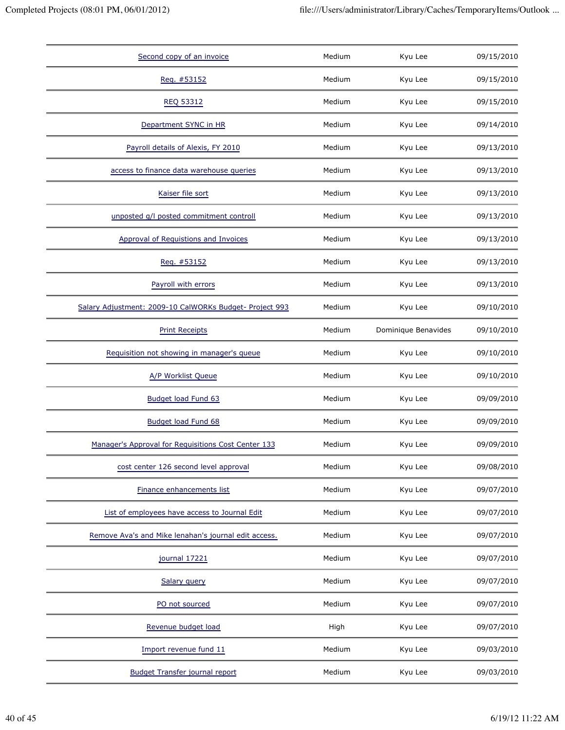| Second copy of an invoice                               | Medium | Kyu Lee             | 09/15/2010 |
|---------------------------------------------------------|--------|---------------------|------------|
| Req. #53152                                             | Medium | Kyu Lee             | 09/15/2010 |
| <b>REQ 53312</b>                                        | Medium | Kyu Lee             | 09/15/2010 |
| Department SYNC in HR                                   | Medium | Kyu Lee             | 09/14/2010 |
| Payroll details of Alexis, FY 2010                      | Medium | Kyu Lee             | 09/13/2010 |
| access to finance data warehouse queries                | Medium | Kyu Lee             | 09/13/2010 |
| Kaiser file sort                                        | Medium | Kyu Lee             | 09/13/2010 |
| unposted g/l posted commitment controll                 | Medium | Kyu Lee             | 09/13/2010 |
| <b>Approval of Requistions and Invoices</b>             | Medium | Kyu Lee             | 09/13/2010 |
| Req. #53152                                             | Medium | Kyu Lee             | 09/13/2010 |
| Payroll with errors                                     | Medium | Kyu Lee             | 09/13/2010 |
| Salary Adjustment: 2009-10 CalWORKs Budget- Project 993 | Medium | Kyu Lee             | 09/10/2010 |
| <b>Print Receipts</b>                                   | Medium | Dominique Benavides | 09/10/2010 |
| Requisition not showing in manager's queue              | Medium | Kyu Lee             | 09/10/2010 |
| A/P Worklist Queue                                      | Medium | Kyu Lee             | 09/10/2010 |
| Budget load Fund 63                                     | Medium | Kyu Lee             | 09/09/2010 |
| <b>Budget load Fund 68</b>                              | Medium | Kyu Lee             | 09/09/2010 |
| Manager's Approval for Requisitions Cost Center 133     | Medium | Kyu Lee             | 09/09/2010 |
| cost center 126 second level approval                   | Medium | Kyu Lee             | 09/08/2010 |
| Finance enhancements list                               | Medium | Kyu Lee             | 09/07/2010 |
| List of employees have access to Journal Edit           | Medium | Kyu Lee             | 09/07/2010 |
| Remove Ava's and Mike lenahan's journal edit access.    | Medium | Kyu Lee             | 09/07/2010 |
| journal 17221                                           | Medium | Kyu Lee             | 09/07/2010 |
| Salary query                                            | Medium | Kyu Lee             | 09/07/2010 |
| PO not sourced                                          | Medium | Kyu Lee             | 09/07/2010 |
| Revenue budget load                                     | High   | Kyu Lee             | 09/07/2010 |
| Import revenue fund 11                                  | Medium | Kyu Lee             | 09/03/2010 |
| <b>Budget Transfer journal report</b>                   | Medium | Kyu Lee             | 09/03/2010 |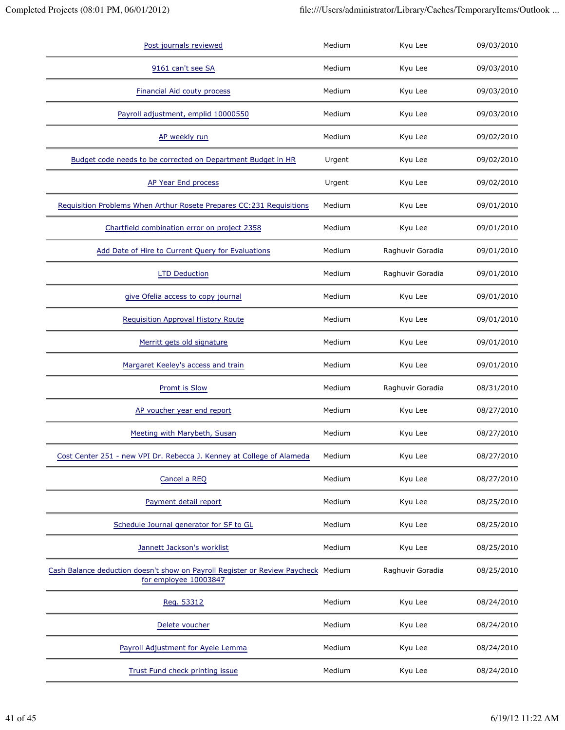| Post journals reviewed                                                                                     | Medium | Kyu Lee          | 09/03/2010 |
|------------------------------------------------------------------------------------------------------------|--------|------------------|------------|
| 9161 can't see SA                                                                                          | Medium | Kyu Lee          | 09/03/2010 |
| Financial Aid couty process                                                                                | Medium | Kyu Lee          | 09/03/2010 |
| Payroll adjustment, emplid 10000550                                                                        | Medium | Kyu Lee          | 09/03/2010 |
| AP weekly run                                                                                              | Medium | Kyu Lee          | 09/02/2010 |
| Budget code needs to be corrected on Department Budget in HR                                               | Urgent | Kyu Lee          | 09/02/2010 |
| AP Year End process                                                                                        | Urgent | Kyu Lee          | 09/02/2010 |
| Requisition Problems When Arthur Rosete Prepares CC:231 Requisitions                                       | Medium | Kyu Lee          | 09/01/2010 |
| Chartfield combination error on project 2358                                                               | Medium | Kyu Lee          | 09/01/2010 |
| Add Date of Hire to Current Query for Evaluations                                                          | Medium | Raghuvir Goradia | 09/01/2010 |
| <b>LTD Deduction</b>                                                                                       | Medium | Raghuvir Goradia | 09/01/2010 |
| give Ofelia access to copy journal                                                                         | Medium | Kyu Lee          | 09/01/2010 |
| Requisition Approval History Route                                                                         | Medium | Kyu Lee          | 09/01/2010 |
| Merritt gets old signature                                                                                 | Medium | Kyu Lee          | 09/01/2010 |
| Margaret Keeley's access and train                                                                         | Medium | Kyu Lee          | 09/01/2010 |
| Promt is Slow                                                                                              | Medium | Raghuvir Goradia | 08/31/2010 |
| AP voucher year end report                                                                                 | Medium | Kyu Lee          | 08/27/2010 |
| Meeting with Marybeth, Susan                                                                               | Medium | Kyu Lee          | 08/27/2010 |
| Cost Center 251 - new VPI Dr. Rebecca J. Kenney at College of Alameda                                      | Medium | Kyu Lee          | 08/27/2010 |
| Cancel a REQ                                                                                               | Medium | Kyu Lee          | 08/27/2010 |
| Payment detail report                                                                                      | Medium | Kyu Lee          | 08/25/2010 |
| Schedule Journal generator for SF to GL                                                                    | Medium | Kyu Lee          | 08/25/2010 |
| Jannett Jackson's worklist                                                                                 | Medium | Kyu Lee          | 08/25/2010 |
| Cash Balance deduction doesn't show on Payroll Register or Review Paycheck Medium<br>for employee 10003847 |        | Raghuvir Goradia | 08/25/2010 |
| Reg. 53312                                                                                                 | Medium | Kyu Lee          | 08/24/2010 |
| Delete voucher                                                                                             | Medium | Kyu Lee          | 08/24/2010 |
| Payroll Adjustment for Ayele Lemma                                                                         | Medium | Kyu Lee          | 08/24/2010 |
| Trust Fund check printing issue                                                                            | Medium | Kyu Lee          | 08/24/2010 |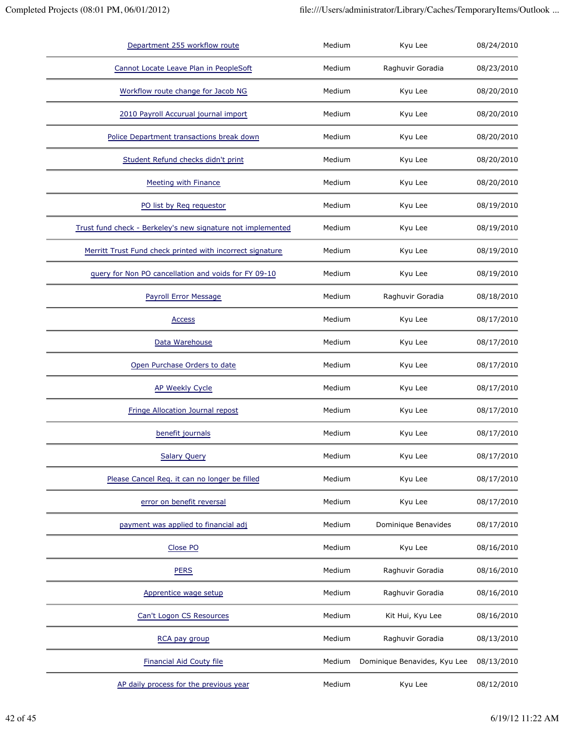| Department 255 workflow route                               | Medium | Kyu Lee                      | 08/24/2010 |
|-------------------------------------------------------------|--------|------------------------------|------------|
| Cannot Locate Leave Plan in PeopleSoft                      | Medium | Raghuvir Goradia             | 08/23/2010 |
| Workflow route change for Jacob NG                          | Medium | Kyu Lee                      | 08/20/2010 |
| 2010 Payroll Accurual journal import                        | Medium | Kyu Lee                      | 08/20/2010 |
| Police Department transactions break down                   | Medium | Kyu Lee                      | 08/20/2010 |
| Student Refund checks didn't print                          | Medium | Kyu Lee                      | 08/20/2010 |
| <b>Meeting with Finance</b>                                 | Medium | Kyu Lee                      | 08/20/2010 |
| PO list by Req requestor                                    | Medium | Kyu Lee                      | 08/19/2010 |
| Trust fund check - Berkeley's new signature not implemented | Medium | Kyu Lee                      | 08/19/2010 |
| Merritt Trust Fund check printed with incorrect signature   | Medium | Kyu Lee                      | 08/19/2010 |
| query for Non PO cancellation and voids for FY 09-10        | Medium | Kyu Lee                      | 08/19/2010 |
| Payroll Error Message                                       | Medium | Raghuvir Goradia             | 08/18/2010 |
| <b>Access</b>                                               | Medium | Kyu Lee                      | 08/17/2010 |
| Data Warehouse                                              | Medium | Kyu Lee                      | 08/17/2010 |
| Open Purchase Orders to date                                | Medium | Kyu Lee                      | 08/17/2010 |
| <b>AP Weekly Cycle</b>                                      | Medium | Kyu Lee                      | 08/17/2010 |
| Fringe Allocation Journal repost                            | Medium | Kyu Lee                      | 08/17/2010 |
| benefit journals                                            | Medium | Kyu Lee                      | 08/17/2010 |
| <b>Salary Query</b>                                         | Medium | Kyu Lee                      | 08/17/2010 |
| Please Cancel Req. it can no longer be filled               | Medium | Kyu Lee                      | 08/17/2010 |
| error on benefit reversal                                   | Medium | Kyu Lee                      | 08/17/2010 |
| payment was applied to financial adj                        | Medium | Dominique Benavides          | 08/17/2010 |
| Close PO                                                    | Medium | Kyu Lee                      | 08/16/2010 |
| <b>PERS</b>                                                 | Medium | Raghuvir Goradia             | 08/16/2010 |
| Apprentice wage setup                                       | Medium | Raghuvir Goradia             | 08/16/2010 |
| Can't Logon CS Resources                                    | Medium | Kit Hui, Kyu Lee             | 08/16/2010 |
| RCA pay group                                               | Medium | Raghuvir Goradia             | 08/13/2010 |
| <b>Financial Aid Couty file</b>                             | Medium | Dominique Benavides, Kyu Lee | 08/13/2010 |
| AP daily process for the previous year                      | Medium | Kyu Lee                      | 08/12/2010 |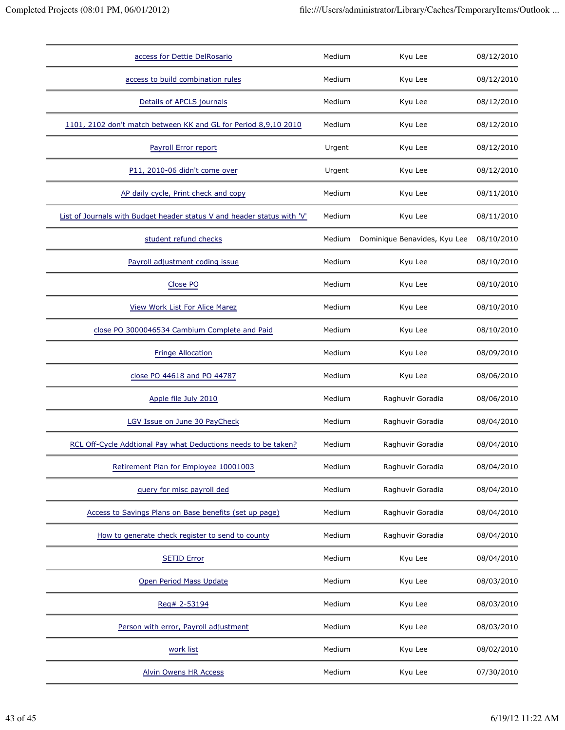| access for Dettie DelRosario                                            | Medium | Kyu Lee                      | 08/12/2010 |
|-------------------------------------------------------------------------|--------|------------------------------|------------|
| access to build combination rules                                       | Medium | Kyu Lee                      | 08/12/2010 |
| Details of APCLS journals                                               | Medium | Kyu Lee                      | 08/12/2010 |
| 1101, 2102 don't match between KK and GL for Period 8,9,10 2010         | Medium | Kyu Lee                      | 08/12/2010 |
| Payroll Error report                                                    | Urgent | Kyu Lee                      | 08/12/2010 |
| P11, 2010-06 didn't come over                                           | Urgent | Kyu Lee                      | 08/12/2010 |
| AP daily cycle, Print check and copy                                    | Medium | Kyu Lee                      | 08/11/2010 |
| List of Journals with Budget header status V and header status with 'V' | Medium | Kyu Lee                      | 08/11/2010 |
| student refund checks                                                   | Medium | Dominique Benavides, Kyu Lee | 08/10/2010 |
| Payroll adjustment coding issue                                         | Medium | Kyu Lee                      | 08/10/2010 |
| Close PO                                                                | Medium | Kyu Lee                      | 08/10/2010 |
| <b>View Work List For Alice Marez</b>                                   | Medium | Kyu Lee                      | 08/10/2010 |
| close PO 3000046534 Cambium Complete and Paid                           | Medium | Kyu Lee                      | 08/10/2010 |
| <b>Fringe Allocation</b>                                                | Medium | Kyu Lee                      | 08/09/2010 |
| close PO 44618 and PO 44787                                             | Medium | Kyu Lee                      | 08/06/2010 |
| Apple file July 2010                                                    | Medium | Raghuvir Goradia             | 08/06/2010 |
| LGV Issue on June 30 PayCheck                                           | Medium | Raghuvir Goradia             | 08/04/2010 |
| RCL Off-Cycle Addtional Pay what Deductions needs to be taken?          | Medium | Raghuvir Goradia             | 08/04/2010 |
| Retirement Plan for Employee 10001003                                   | Medium | Raghuvir Goradia             | 08/04/2010 |
| guery for misc payroll ded                                              | Medium | Raghuvir Goradia             | 08/04/2010 |
| Access to Savings Plans on Base benefits (set up page)                  | Medium | Raghuvir Goradia             | 08/04/2010 |
| How to generate check register to send to county                        | Medium | Raghuvir Goradia             | 08/04/2010 |
| <b>SETID Error</b>                                                      | Medium | Kyu Lee                      | 08/04/2010 |
| Open Period Mass Update                                                 | Medium | Kyu Lee                      | 08/03/2010 |
| Reg# 2-53194                                                            | Medium | Kyu Lee                      | 08/03/2010 |
| Person with error, Payroll adjustment                                   | Medium | Kyu Lee                      | 08/03/2010 |
| work list                                                               | Medium | Kyu Lee                      | 08/02/2010 |
| <b>Alvin Owens HR Access</b>                                            | Medium | Kyu Lee                      | 07/30/2010 |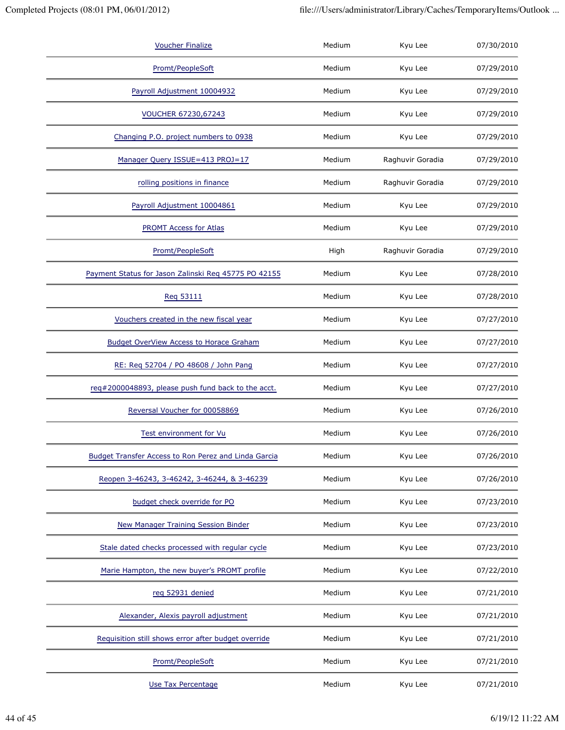| <b>Voucher Finalize</b>                              | Medium | Kyu Lee          | 07/30/2010 |
|------------------------------------------------------|--------|------------------|------------|
| Promt/PeopleSoft                                     | Medium | Kyu Lee          | 07/29/2010 |
| Payroll Adjustment 10004932                          | Medium | Kyu Lee          | 07/29/2010 |
| <b>VOUCHER 67230,67243</b>                           | Medium | Kyu Lee          | 07/29/2010 |
| Changing P.O. project numbers to 0938                | Medium | Kyu Lee          | 07/29/2010 |
| Manager Query ISSUE=413 PROJ=17                      | Medium | Raghuvir Goradia | 07/29/2010 |
| rolling positions in finance                         | Medium | Raghuvir Goradia | 07/29/2010 |
| Payroll Adjustment 10004861                          | Medium | Kyu Lee          | 07/29/2010 |
| <b>PROMT Access for Atlas</b>                        | Medium | Kyu Lee          | 07/29/2010 |
| Promt/PeopleSoft                                     | High   | Raghuvir Goradia | 07/29/2010 |
| Payment Status for Jason Zalinski Req 45775 PO 42155 | Medium | Kyu Lee          | 07/28/2010 |
| Req 53111                                            | Medium | Kyu Lee          | 07/28/2010 |
| Vouchers created in the new fiscal year              | Medium | Kyu Lee          | 07/27/2010 |
| Budget OverView Access to Horace Graham              | Medium | Kyu Lee          | 07/27/2010 |
| RE: Req 52704 / PO 48608 / John Pang                 | Medium | Kyu Lee          | 07/27/2010 |
| req#2000048893, please push fund back to the acct.   | Medium | Kyu Lee          | 07/27/2010 |
| Reversal Voucher for 00058869                        | Medium | Kyu Lee          | 07/26/2010 |
| Test environment for Vu                              | Medium | Kyu Lee          | 07/26/2010 |
| Budget Transfer Access to Ron Perez and Linda Garcia | Medium | Kyu Lee          | 07/26/2010 |
| Reopen 3-46243, 3-46242, 3-46244, & 3-46239          | Medium | Kyu Lee          | 07/26/2010 |
| budget check override for PO                         | Medium | Kyu Lee          | 07/23/2010 |
| <b>New Manager Training Session Binder</b>           | Medium | Kyu Lee          | 07/23/2010 |
| Stale dated checks processed with regular cycle      | Medium | Kyu Lee          | 07/23/2010 |
| Marie Hampton, the new buyer's PROMT profile         | Medium | Kyu Lee          | 07/22/2010 |
| reg 52931 denied                                     | Medium | Kyu Lee          | 07/21/2010 |
| Alexander, Alexis payroll adjustment                 | Medium | Kyu Lee          | 07/21/2010 |
| Requisition still shows error after budget override  | Medium | Kyu Lee          | 07/21/2010 |
| Promt/PeopleSoft                                     | Medium | Kyu Lee          | 07/21/2010 |
| <b>Use Tax Percentage</b>                            | Medium | Kyu Lee          | 07/21/2010 |